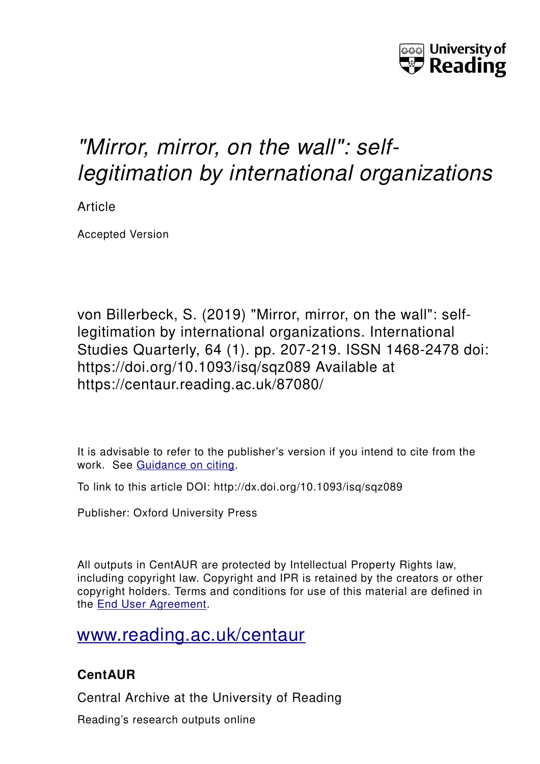

# *"Mirror, mirror, on the wall": selflegitimation by international organizations*

Article

Accepted Version

von Billerbeck, S. (2019) "Mirror, mirror, on the wall": selflegitimation by international organizations. International Studies Quarterly, 64 (1). pp. 207-219. ISSN 1468-2478 doi: https://doi.org/10.1093/isq/sqz089 Available at https://centaur.reading.ac.uk/87080/

It is advisable to refer to the publisher's version if you intend to cite from the work. See [Guidance on citing.](http://centaur.reading.ac.uk/71187/10/CentAUR%20citing%20guide.pdf)

To link to this article DOI: http://dx.doi.org/10.1093/isq/sqz089

Publisher: Oxford University Press

All outputs in CentAUR are protected by Intellectual Property Rights law, including copyright law. Copyright and IPR is retained by the creators or other copyright holders. Terms and conditions for use of this material are defined in the [End User Agreement.](http://centaur.reading.ac.uk/licence)

# [www.reading.ac.uk/centaur](http://www.reading.ac.uk/centaur)

# **CentAUR**

Central Archive at the University of Reading

Reading's research outputs online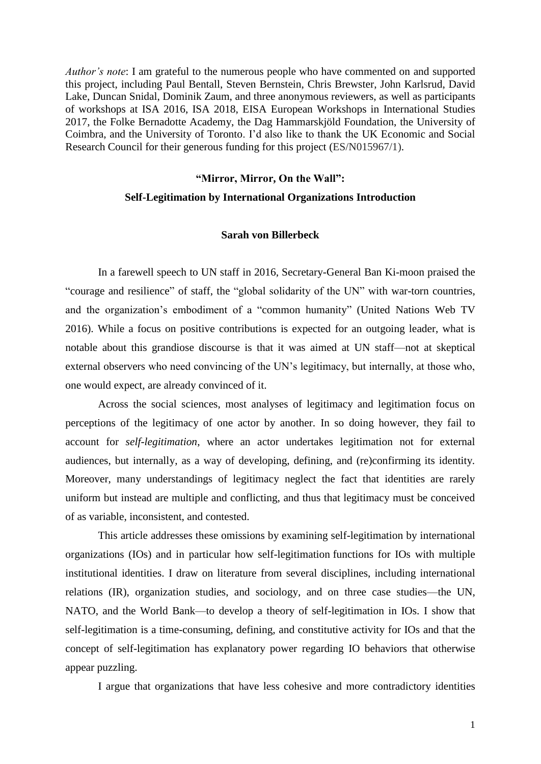*Author's note*: I am grateful to the numerous people who have commented on and supported this project, including Paul Bentall, Steven Bernstein, Chris Brewster, John Karlsrud, David Lake, Duncan Snidal, Dominik Zaum, and three anonymous reviewers, as well as participants of workshops at ISA 2016, ISA 2018, EISA European Workshops in International Studies 2017, the Folke Bernadotte Academy, the Dag Hammarskjöld Foundation, the University of Coimbra, and the University of Toronto. I'd also like to thank the UK Economic and Social Research Council for their generous funding for this project (ES/N015967/1).

# **"Mirror, Mirror, On the Wall":**

# **Self-Legitimation by International Organizations Introduction**

#### **Sarah von Billerbeck**

In a farewell speech to UN staff in 2016, Secretary-General Ban Ki-moon praised the "courage and resilience" of staff, the "global solidarity of the UN" with war-torn countries, and the organization's embodiment of a "common humanity" (United Nations Web TV 2016). While a focus on positive contributions is expected for an outgoing leader, what is notable about this grandiose discourse is that it was aimed at UN staff—not at skeptical external observers who need convincing of the UN's legitimacy, but internally, at those who, one would expect, are already convinced of it.

Across the social sciences, most analyses of legitimacy and legitimation focus on perceptions of the legitimacy of one actor by another. In so doing however, they fail to account for *self-legitimation*, where an actor undertakes legitimation not for external audiences, but internally, as a way of developing, defining, and (re)confirming its identity. Moreover, many understandings of legitimacy neglect the fact that identities are rarely uniform but instead are multiple and conflicting, and thus that legitimacy must be conceived of as variable, inconsistent, and contested.

This article addresses these omissions by examining self-legitimation by international organizations (IOs) and in particular how self-legitimation functions for IOs with multiple institutional identities. I draw on literature from several disciplines, including international relations (IR), organization studies, and sociology, and on three case studies—the UN, NATO, and the World Bank—to develop a theory of self-legitimation in IOs. I show that self-legitimation is a time-consuming, defining, and constitutive activity for IOs and that the concept of self-legitimation has explanatory power regarding IO behaviors that otherwise appear puzzling.

I argue that organizations that have less cohesive and more contradictory identities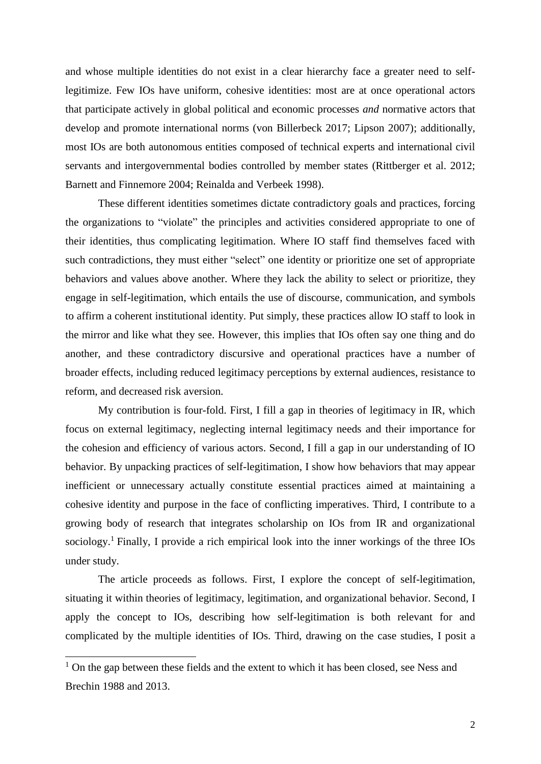and whose multiple identities do not exist in a clear hierarchy face a greater need to selflegitimize. Few IOs have uniform, cohesive identities: most are at once operational actors that participate actively in global political and economic processes *and* normative actors that develop and promote international norms (von Billerbeck 2017; Lipson 2007); additionally, most IOs are both autonomous entities composed of technical experts and international civil servants and intergovernmental bodies controlled by member states (Rittberger et al. 2012; Barnett and Finnemore 2004; Reinalda and Verbeek 1998).

These different identities sometimes dictate contradictory goals and practices, forcing the organizations to "violate" the principles and activities considered appropriate to one of their identities, thus complicating legitimation. Where IO staff find themselves faced with such contradictions, they must either "select" one identity or prioritize one set of appropriate behaviors and values above another. Where they lack the ability to select or prioritize, they engage in self-legitimation, which entails the use of discourse, communication, and symbols to affirm a coherent institutional identity. Put simply, these practices allow IO staff to look in the mirror and like what they see. However, this implies that IOs often say one thing and do another, and these contradictory discursive and operational practices have a number of broader effects, including reduced legitimacy perceptions by external audiences, resistance to reform, and decreased risk aversion.

My contribution is four-fold. First, I fill a gap in theories of legitimacy in IR, which focus on external legitimacy, neglecting internal legitimacy needs and their importance for the cohesion and efficiency of various actors. Second, I fill a gap in our understanding of IO behavior. By unpacking practices of self-legitimation, I show how behaviors that may appear inefficient or unnecessary actually constitute essential practices aimed at maintaining a cohesive identity and purpose in the face of conflicting imperatives. Third, I contribute to a growing body of research that integrates scholarship on IOs from IR and organizational sociology.<sup>1</sup> Finally, I provide a rich empirical look into the inner workings of the three IOs under study.

The article proceeds as follows. First, I explore the concept of self-legitimation, situating it within theories of legitimacy, legitimation, and organizational behavior. Second, I apply the concept to IOs, describing how self-legitimation is both relevant for and complicated by the multiple identities of IOs. Third, drawing on the case studies, I posit a

<sup>&</sup>lt;sup>1</sup> On the gap between these fields and the extent to which it has been closed, see Ness and Brechin 1988 and 2013.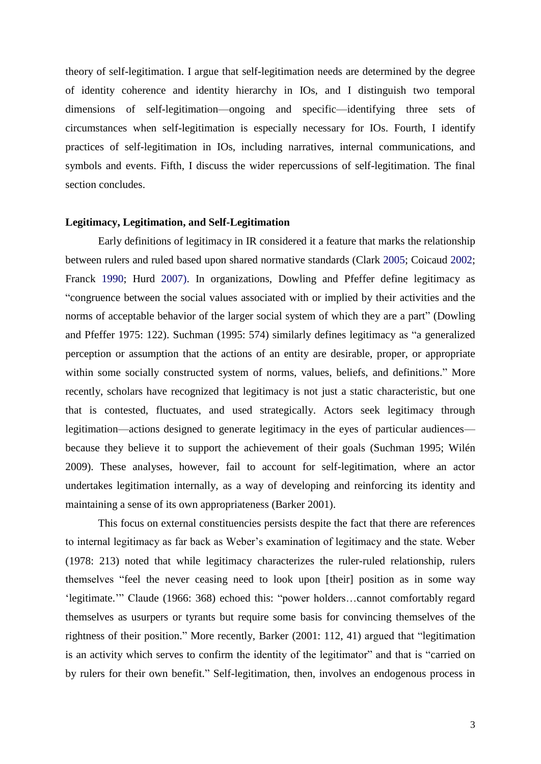theory of self-legitimation. I argue that self-legitimation needs are determined by the degree of identity coherence and identity hierarchy in IOs, and I distinguish two temporal dimensions of self-legitimation—ongoing and specific—identifying three sets of circumstances when self-legitimation is especially necessary for IOs. Fourth, I identify practices of self-legitimation in IOs, including narratives, internal communications, and symbols and events. Fifth, I discuss the wider repercussions of self-legitimation. The final section concludes.

# **Legitimacy, Legitimation, and Self-Legitimation**

Early definitions of legitimacy in IR considered it a feature that marks the relationship between rulers and ruled based upon shared normative standards (Clark 2005; Coicaud 2002; Franck 1990; Hurd 2007). In organizations, Dowling and Pfeffer define legitimacy as "congruence between the social values associated with or implied by their activities and the norms of acceptable behavior of the larger social system of which they are a part" (Dowling and Pfeffer 1975: 122). Suchman (1995: 574) similarly defines legitimacy as "a generalized perception or assumption that the actions of an entity are desirable, proper, or appropriate within some socially constructed system of norms, values, beliefs, and definitions." More recently, scholars have recognized that legitimacy is not just a static characteristic, but one that is contested, fluctuates, and used strategically. Actors seek legitimacy through legitimation—actions designed to generate legitimacy in the eyes of particular audiences because they believe it to support the achievement of their goals (Suchman 1995; Wilén 2009). These analyses, however, fail to account for self-legitimation, where an actor undertakes legitimation internally, as a way of developing and reinforcing its identity and maintaining a sense of its own appropriateness (Barker 2001).

This focus on external constituencies persists despite the fact that there are references to internal legitimacy as far back as Weber's examination of legitimacy and the state. Weber (1978: 213) noted that while legitimacy characterizes the ruler-ruled relationship, rulers themselves "feel the never ceasing need to look upon [their] position as in some way 'legitimate.'" Claude (1966: 368) echoed this: "power holders…cannot comfortably regard themselves as usurpers or tyrants but require some basis for convincing themselves of the rightness of their position." More recently, Barker (2001: 112, 41) argued that "legitimation is an activity which serves to confirm the identity of the legitimator" and that is "carried on by rulers for their own benefit." Self-legitimation, then, involves an endogenous process in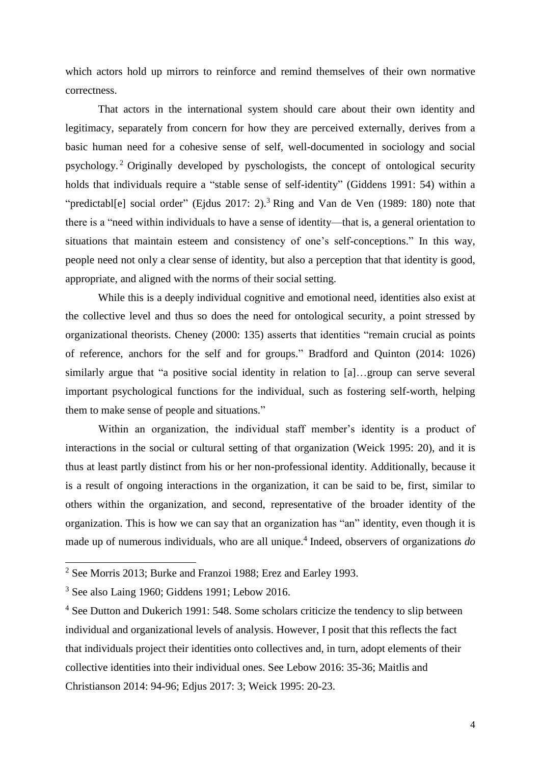which actors hold up mirrors to reinforce and remind themselves of their own normative correctness.

That actors in the international system should care about their own identity and legitimacy, separately from concern for how they are perceived externally, derives from a basic human need for a cohesive sense of self, well-documented in sociology and social psychology. <sup>2</sup> Originally developed by pyschologists, the concept of ontological security holds that individuals require a "stable sense of self-identity" (Giddens 1991: 54) within a "predictabl[e] social order" (Ejdus 2017: 2).<sup>3</sup> Ring and Van de Ven (1989: 180) note that there is a "need within individuals to have a sense of identity—that is, a general orientation to situations that maintain esteem and consistency of one's self-conceptions." In this way, people need not only a clear sense of identity, but also a perception that that identity is good, appropriate, and aligned with the norms of their social setting.

While this is a deeply individual cognitive and emotional need, identities also exist at the collective level and thus so does the need for ontological security, a point stressed by organizational theorists. Cheney (2000: 135) asserts that identities "remain crucial as points of reference, anchors for the self and for groups." Bradford and Quinton (2014: 1026) similarly argue that "a positive social identity in relation to [a]…group can serve several important psychological functions for the individual, such as fostering self-worth, helping them to make sense of people and situations."

Within an organization, the individual staff member's identity is a product of interactions in the social or cultural setting of that organization (Weick 1995: 20), and it is thus at least partly distinct from his or her non-professional identity. Additionally, because it is a result of ongoing interactions in the organization, it can be said to be, first, similar to others within the organization, and second, representative of the broader identity of the organization. This is how we can say that an organization has "an" identity, even though it is made up of numerous individuals, who are all unique. 4 Indeed, observers of organizations *do*

<sup>2</sup> See Morris 2013; Burke and Franzoi 1988; Erez and Earley 1993.

<sup>3</sup> See also Laing 1960; Giddens 1991; Lebow 2016.

<sup>&</sup>lt;sup>4</sup> See Dutton and Dukerich 1991: 548. Some scholars criticize the tendency to slip between individual and organizational levels of analysis. However, I posit that this reflects the fact that individuals project their identities onto collectives and, in turn, adopt elements of their collective identities into their individual ones. See Lebow 2016: 35-36; Maitlis and Christianson 2014: 94-96; Edjus 2017: 3; Weick 1995: 20-23.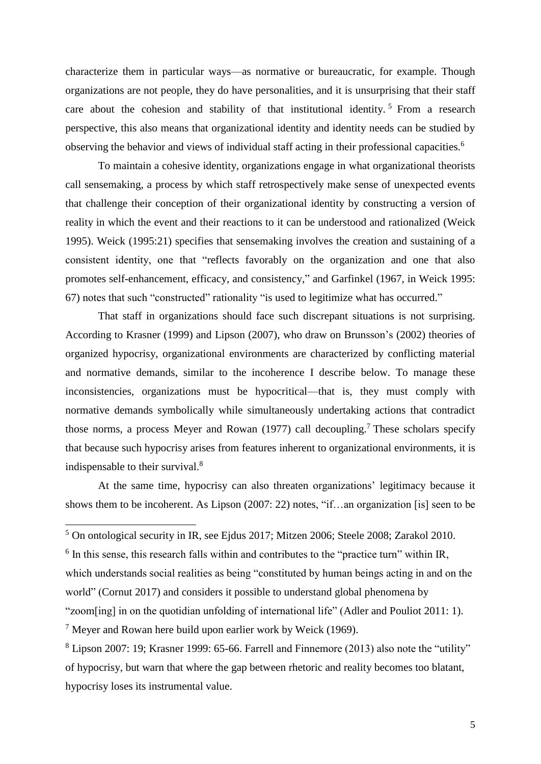characterize them in particular ways—as normative or bureaucratic, for example. Though organizations are not people, they do have personalities, and it is unsurprising that their staff care about the cohesion and stability of that institutional identity.<sup>5</sup> From a research perspective, this also means that organizational identity and identity needs can be studied by observing the behavior and views of individual staff acting in their professional capacities.<sup>6</sup>

To maintain a cohesive identity, organizations engage in what organizational theorists call sensemaking, a process by which staff retrospectively make sense of unexpected events that challenge their conception of their organizational identity by constructing a version of reality in which the event and their reactions to it can be understood and rationalized (Weick 1995). Weick (1995:21) specifies that sensemaking involves the creation and sustaining of a consistent identity, one that "reflects favorably on the organization and one that also promotes self-enhancement, efficacy, and consistency," and Garfinkel (1967, in Weick 1995: 67) notes that such "constructed" rationality "is used to legitimize what has occurred."

That staff in organizations should face such discrepant situations is not surprising. According to Krasner (1999) and Lipson (2007), who draw on Brunsson's (2002) theories of organized hypocrisy, organizational environments are characterized by conflicting material and normative demands, similar to the incoherence I describe below. To manage these inconsistencies, organizations must be hypocritical—that is, they must comply with normative demands symbolically while simultaneously undertaking actions that contradict those norms, a process Meyer and Rowan (1977) call decoupling.<sup>7</sup> These scholars specify that because such hypocrisy arises from features inherent to organizational environments, it is indispensable to their survival.<sup>8</sup>

At the same time, hypocrisy can also threaten organizations' legitimacy because it shows them to be incoherent. As Lipson (2007: 22) notes, "if…an organization [is] seen to be

 $<sup>5</sup>$  On ontological security in IR, see Ejdus 2017; Mitzen 2006; Steele 2008; Zarakol 2010.</sup>

 $6$  In this sense, this research falls within and contributes to the "practice turn" within IR,

which understands social realities as being "constituted by human beings acting in and on the

world" (Cornut 2017) and considers it possible to understand global phenomena by

<sup>&</sup>quot;zoom[ing] in on the quotidian unfolding of international life" (Adler and Pouliot 2011: 1).

 $<sup>7</sup>$  Meyer and Rowan here build upon earlier work by Weick (1969).</sup>

<sup>8</sup> Lipson 2007: 19; Krasner 1999: 65-66. Farrell and Finnemore (2013) also note the "utility" of hypocrisy, but warn that where the gap between rhetoric and reality becomes too blatant, hypocrisy loses its instrumental value.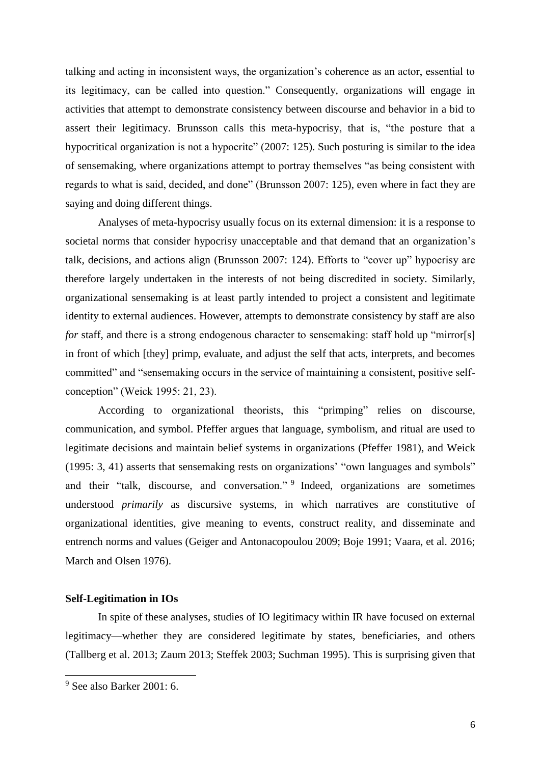talking and acting in inconsistent ways, the organization's coherence as an actor, essential to its legitimacy, can be called into question." Consequently, organizations will engage in activities that attempt to demonstrate consistency between discourse and behavior in a bid to assert their legitimacy. Brunsson calls this meta-hypocrisy, that is, "the posture that a hypocritical organization is not a hypocrite" (2007: 125). Such posturing is similar to the idea of sensemaking, where organizations attempt to portray themselves "as being consistent with regards to what is said, decided, and done" (Brunsson 2007: 125), even where in fact they are saying and doing different things.

Analyses of meta-hypocrisy usually focus on its external dimension: it is a response to societal norms that consider hypocrisy unacceptable and that demand that an organization's talk, decisions, and actions align (Brunsson 2007: 124). Efforts to "cover up" hypocrisy are therefore largely undertaken in the interests of not being discredited in society. Similarly, organizational sensemaking is at least partly intended to project a consistent and legitimate identity to external audiences. However, attempts to demonstrate consistency by staff are also *for* staff, and there is a strong endogenous character to sensemaking: staff hold up "mirror[s] in front of which [they] primp, evaluate, and adjust the self that acts, interprets, and becomes committed" and "sensemaking occurs in the service of maintaining a consistent, positive selfconception" (Weick 1995: 21, 23).

According to organizational theorists, this "primping" relies on discourse, communication, and symbol. Pfeffer argues that language, symbolism, and ritual are used to legitimate decisions and maintain belief systems in organizations (Pfeffer 1981), and Weick (1995: 3, 41) asserts that sensemaking rests on organizations' "own languages and symbols" and their "talk, discourse, and conversation." <sup>9</sup> Indeed, organizations are sometimes understood *primarily* as discursive systems, in which narratives are constitutive of organizational identities, give meaning to events, construct reality, and disseminate and entrench norms and values (Geiger and Antonacopoulou 2009; Boje 1991; Vaara, et al. 2016; March and Olsen 1976).

#### **Self-Legitimation in IOs**

In spite of these analyses, studies of IO legitimacy within IR have focused on external legitimacy—whether they are considered legitimate by states, beneficiaries, and others (Tallberg et al. 2013; Zaum 2013; Steffek 2003; Suchman 1995). This is surprising given that

<sup>9</sup> See also Barker 2001: 6.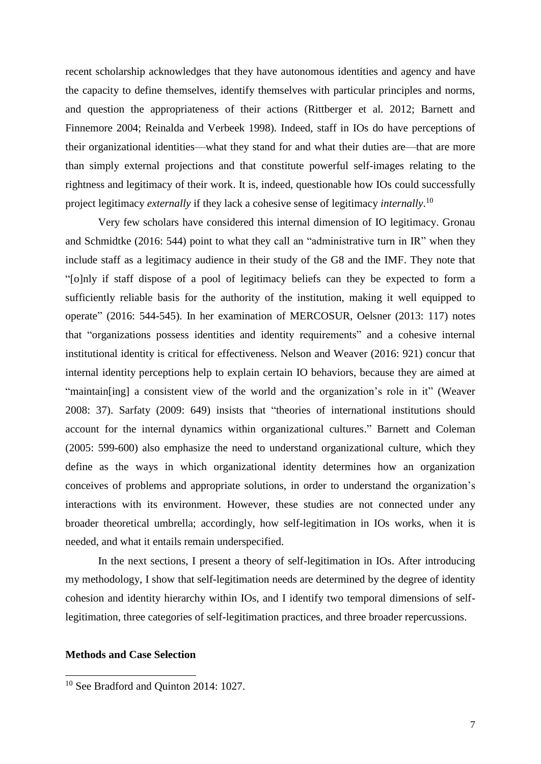recent scholarship acknowledges that they have autonomous identities and agency and have the capacity to define themselves, identify themselves with particular principles and norms, and question the appropriateness of their actions (Rittberger et al. 2012; Barnett and Finnemore 2004; Reinalda and Verbeek 1998). Indeed, staff in IOs do have perceptions of their organizational identities—what they stand for and what their duties are—that are more than simply external projections and that constitute powerful self-images relating to the rightness and legitimacy of their work. It is, indeed, questionable how IOs could successfully project legitimacy *externally* if they lack a cohesive sense of legitimacy *internally*. 10

Very few scholars have considered this internal dimension of IO legitimacy. Gronau and Schmidtke (2016: 544) point to what they call an "administrative turn in IR" when they include staff as a legitimacy audience in their study of the G8 and the IMF. They note that "[o]nly if staff dispose of a pool of legitimacy beliefs can they be expected to form a sufficiently reliable basis for the authority of the institution, making it well equipped to operate" (2016: 544-545). In her examination of MERCOSUR, Oelsner (2013: 117) notes that "organizations possess identities and identity requirements" and a cohesive internal institutional identity is critical for effectiveness. Nelson and Weaver (2016: 921) concur that internal identity perceptions help to explain certain IO behaviors, because they are aimed at "maintain[ing] a consistent view of the world and the organization's role in it" (Weaver 2008: 37). Sarfaty (2009: 649) insists that "theories of international institutions should account for the internal dynamics within organizational cultures." Barnett and Coleman (2005: 599-600) also emphasize the need to understand organizational culture, which they define as the ways in which organizational identity determines how an organization conceives of problems and appropriate solutions, in order to understand the organization's interactions with its environment. However, these studies are not connected under any broader theoretical umbrella; accordingly, how self-legitimation in IOs works, when it is needed, and what it entails remain underspecified.

In the next sections, I present a theory of self-legitimation in IOs. After introducing my methodology, I show that self-legitimation needs are determined by the degree of identity cohesion and identity hierarchy within IOs, and I identify two temporal dimensions of selflegitimation, three categories of self-legitimation practices, and three broader repercussions.

# **Methods and Case Selection**

<sup>&</sup>lt;sup>10</sup> See Bradford and Quinton 2014: 1027.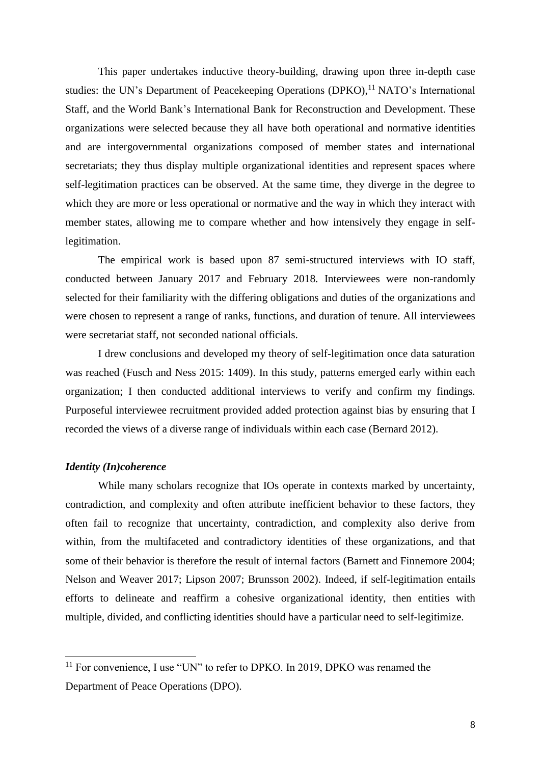This paper undertakes inductive theory-building, drawing upon three in-depth case studies: the UN's Department of Peacekeeping Operations (DPKO),<sup>11</sup> NATO's International Staff, and the World Bank's International Bank for Reconstruction and Development. These organizations were selected because they all have both operational and normative identities and are intergovernmental organizations composed of member states and international secretariats; they thus display multiple organizational identities and represent spaces where self-legitimation practices can be observed. At the same time, they diverge in the degree to which they are more or less operational or normative and the way in which they interact with member states, allowing me to compare whether and how intensively they engage in selflegitimation.

The empirical work is based upon 87 semi-structured interviews with IO staff, conducted between January 2017 and February 2018. Interviewees were non-randomly selected for their familiarity with the differing obligations and duties of the organizations and were chosen to represent a range of ranks, functions, and duration of tenure. All interviewees were secretariat staff, not seconded national officials.

I drew conclusions and developed my theory of self-legitimation once data saturation was reached (Fusch and Ness 2015: 1409). In this study, patterns emerged early within each organization; I then conducted additional interviews to verify and confirm my findings. Purposeful interviewee recruitment provided added protection against bias by ensuring that I recorded the views of a diverse range of individuals within each case (Bernard 2012).

## *Identity (In)coherence*

 $\overline{\phantom{0}}$ 

While many scholars recognize that IOs operate in contexts marked by uncertainty, contradiction, and complexity and often attribute inefficient behavior to these factors, they often fail to recognize that uncertainty, contradiction, and complexity also derive from within, from the multifaceted and contradictory identities of these organizations, and that some of their behavior is therefore the result of internal factors (Barnett and Finnemore 2004; Nelson and Weaver 2017; Lipson 2007; Brunsson 2002). Indeed, if self-legitimation entails efforts to delineate and reaffirm a cohesive organizational identity, then entities with multiple, divided, and conflicting identities should have a particular need to self-legitimize.

<sup>&</sup>lt;sup>11</sup> For convenience, I use "UN" to refer to DPKO. In 2019, DPKO was renamed the Department of Peace Operations (DPO).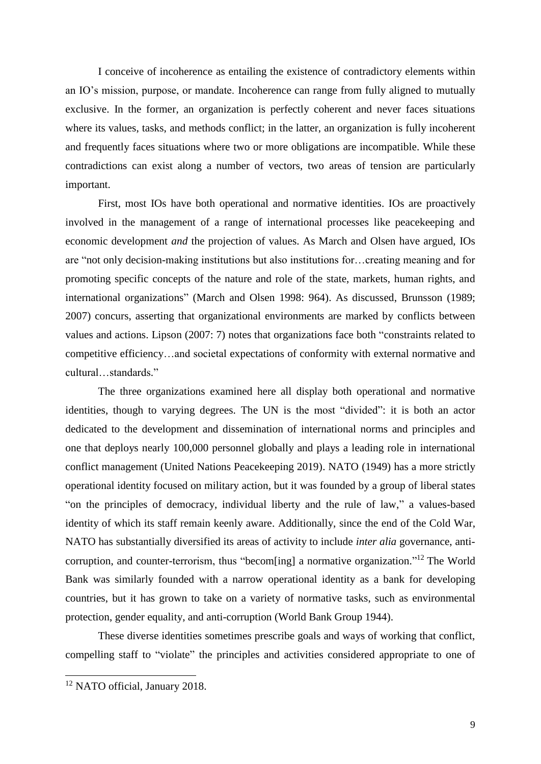I conceive of incoherence as entailing the existence of contradictory elements within an IO's mission, purpose, or mandate. Incoherence can range from fully aligned to mutually exclusive. In the former, an organization is perfectly coherent and never faces situations where its values, tasks, and methods conflict; in the latter, an organization is fully incoherent and frequently faces situations where two or more obligations are incompatible. While these contradictions can exist along a number of vectors, two areas of tension are particularly important.

First, most IOs have both operational and normative identities. IOs are proactively involved in the management of a range of international processes like peacekeeping and economic development *and* the projection of values. As March and Olsen have argued, IOs are "not only decision-making institutions but also institutions for…creating meaning and for promoting specific concepts of the nature and role of the state, markets, human rights, and international organizations" (March and Olsen 1998: 964). As discussed, Brunsson (1989; 2007) concurs, asserting that organizational environments are marked by conflicts between values and actions. Lipson (2007: 7) notes that organizations face both "constraints related to competitive efficiency…and societal expectations of conformity with external normative and cultural…standards."

The three organizations examined here all display both operational and normative identities, though to varying degrees. The UN is the most "divided": it is both an actor dedicated to the development and dissemination of international norms and principles and one that deploys nearly 100,000 personnel globally and plays a leading role in international conflict management (United Nations Peacekeeping 2019). NATO (1949) has a more strictly operational identity focused on military action, but it was founded by a group of liberal states "on the principles of democracy, individual liberty and the rule of law," a values-based identity of which its staff remain keenly aware. Additionally, since the end of the Cold War, NATO has substantially diversified its areas of activity to include *inter alia* governance, anticorruption, and counter-terrorism, thus "becom[ing] a normative organization."<sup>12</sup> The World Bank was similarly founded with a narrow operational identity as a bank for developing countries, but it has grown to take on a variety of normative tasks, such as environmental protection, gender equality, and anti-corruption (World Bank Group 1944).

These diverse identities sometimes prescribe goals and ways of working that conflict, compelling staff to "violate" the principles and activities considered appropriate to one of

<sup>&</sup>lt;sup>12</sup> NATO official, January 2018.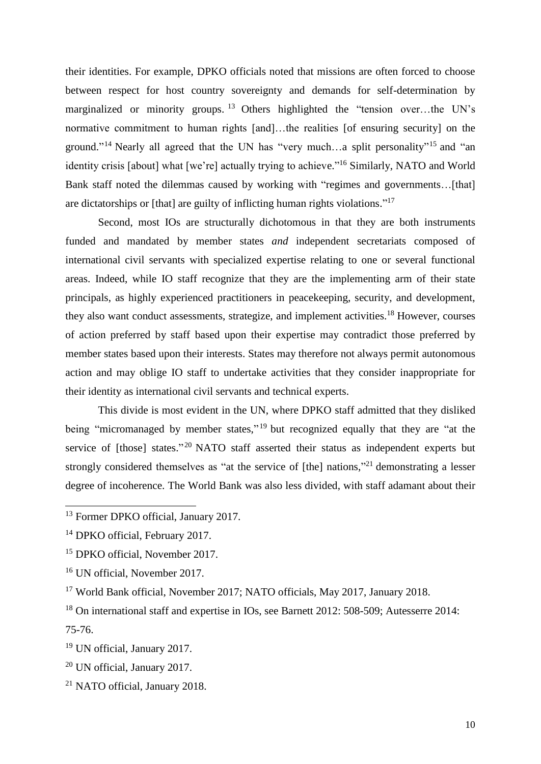their identities. For example, DPKO officials noted that missions are often forced to choose between respect for host country sovereignty and demands for self-determination by marginalized or minority groups.<sup>13</sup> Others highlighted the "tension over...the UN's normative commitment to human rights [and]…the realities [of ensuring security] on the ground."<sup>14</sup> Nearly all agreed that the UN has "very much...a split personality"<sup>15</sup> and "an identity crisis [about] what [we're] actually trying to achieve."<sup>16</sup> Similarly, NATO and World Bank staff noted the dilemmas caused by working with "regimes and governments…[that] are dictatorships or [that] are guilty of inflicting human rights violations."<sup>17</sup>

Second, most IOs are structurally dichotomous in that they are both instruments funded and mandated by member states *and* independent secretariats composed of international civil servants with specialized expertise relating to one or several functional areas. Indeed, while IO staff recognize that they are the implementing arm of their state principals, as highly experienced practitioners in peacekeeping, security, and development, they also want conduct assessments, strategize, and implement activities.<sup>18</sup> However, courses of action preferred by staff based upon their expertise may contradict those preferred by member states based upon their interests. States may therefore not always permit autonomous action and may oblige IO staff to undertake activities that they consider inappropriate for their identity as international civil servants and technical experts.

This divide is most evident in the UN, where DPKO staff admitted that they disliked being "micromanaged by member states,"<sup>19</sup> but recognized equally that they are "at the service of [those] states."<sup>20</sup> NATO staff asserted their status as independent experts but strongly considered themselves as "at the service of [the] nations,"<sup>21</sup> demonstrating a lesser degree of incoherence. The World Bank was also less divided, with staff adamant about their

<sup>13</sup> Former DPKO official, January 2017.

<sup>&</sup>lt;sup>14</sup> DPKO official, February 2017.

<sup>&</sup>lt;sup>15</sup> DPKO official, November 2017.

<sup>16</sup> UN official, November 2017.

<sup>&</sup>lt;sup>17</sup> World Bank official, November 2017; NATO officials, May 2017, January 2018.

<sup>18</sup> On international staff and expertise in IOs, see Barnett 2012: 508-509; Autesserre 2014: 75-76.

<sup>19</sup> UN official, January 2017.

<sup>20</sup> UN official, January 2017.

<sup>21</sup> NATO official, January 2018.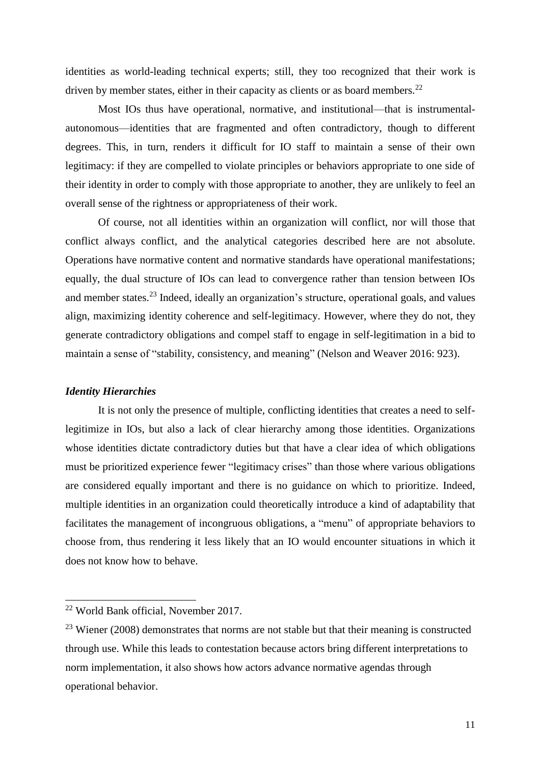identities as world-leading technical experts; still, they too recognized that their work is driven by member states, either in their capacity as clients or as board members.<sup>22</sup>

Most IOs thus have operational, normative, and institutional—that is instrumentalautonomous—identities that are fragmented and often contradictory, though to different degrees. This, in turn, renders it difficult for IO staff to maintain a sense of their own legitimacy: if they are compelled to violate principles or behaviors appropriate to one side of their identity in order to comply with those appropriate to another, they are unlikely to feel an overall sense of the rightness or appropriateness of their work.

Of course, not all identities within an organization will conflict, nor will those that conflict always conflict, and the analytical categories described here are not absolute. Operations have normative content and normative standards have operational manifestations; equally, the dual structure of IOs can lead to convergence rather than tension between IOs and member states.<sup>23</sup> Indeed, ideally an organization's structure, operational goals, and values align, maximizing identity coherence and self-legitimacy. However, where they do not, they generate contradictory obligations and compel staff to engage in self-legitimation in a bid to maintain a sense of "stability, consistency, and meaning" (Nelson and Weaver 2016: 923).

#### *Identity Hierarchies*

l

It is not only the presence of multiple, conflicting identities that creates a need to selflegitimize in IOs, but also a lack of clear hierarchy among those identities. Organizations whose identities dictate contradictory duties but that have a clear idea of which obligations must be prioritized experience fewer "legitimacy crises" than those where various obligations are considered equally important and there is no guidance on which to prioritize. Indeed, multiple identities in an organization could theoretically introduce a kind of adaptability that facilitates the management of incongruous obligations, a "menu" of appropriate behaviors to choose from, thus rendering it less likely that an IO would encounter situations in which it does not know how to behave.

<sup>22</sup> World Bank official, November 2017.

 $^{23}$  Wiener (2008) demonstrates that norms are not stable but that their meaning is constructed through use. While this leads to contestation because actors bring different interpretations to norm implementation, it also shows how actors advance normative agendas through operational behavior.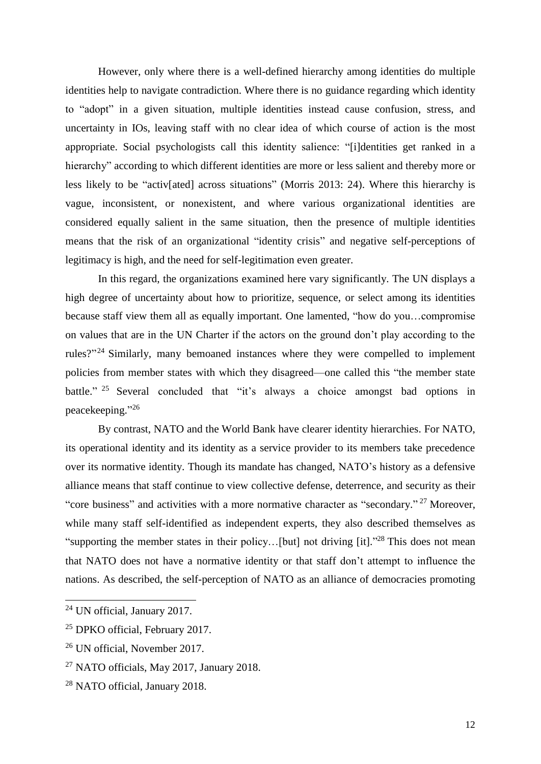However, only where there is a well-defined hierarchy among identities do multiple identities help to navigate contradiction. Where there is no guidance regarding which identity to "adopt" in a given situation, multiple identities instead cause confusion, stress, and uncertainty in IOs, leaving staff with no clear idea of which course of action is the most appropriate. Social psychologists call this identity salience: "[i]dentities get ranked in a hierarchy" according to which different identities are more or less salient and thereby more or less likely to be "activ[ated] across situations" (Morris 2013: 24). Where this hierarchy is vague, inconsistent, or nonexistent, and where various organizational identities are considered equally salient in the same situation, then the presence of multiple identities means that the risk of an organizational "identity crisis" and negative self-perceptions of legitimacy is high, and the need for self-legitimation even greater.

In this regard, the organizations examined here vary significantly. The UN displays a high degree of uncertainty about how to prioritize, sequence, or select among its identities because staff view them all as equally important. One lamented, "how do you…compromise on values that are in the UN Charter if the actors on the ground don't play according to the rules?"<sup>24</sup> Similarly, many bemoaned instances where they were compelled to implement policies from member states with which they disagreed—one called this "the member state battle." <sup>25</sup> Several concluded that "it's always a choice amongst bad options in peacekeeping."26

By contrast, NATO and the World Bank have clearer identity hierarchies. For NATO, its operational identity and its identity as a service provider to its members take precedence over its normative identity. Though its mandate has changed, NATO's history as a defensive alliance means that staff continue to view collective defense, deterrence, and security as their "core business" and activities with a more normative character as "secondary."<sup>27</sup> Moreover, while many staff self-identified as independent experts, they also described themselves as "supporting the member states in their policy...[but] not driving [it]."<sup>28</sup> This does not mean that NATO does not have a normative identity or that staff don't attempt to influence the nations. As described, the self-perception of NATO as an alliance of democracies promoting

<sup>24</sup> UN official, January 2017.

<sup>&</sup>lt;sup>25</sup> DPKO official, February 2017.

<sup>26</sup> UN official, November 2017.

<sup>27</sup> NATO officials, May 2017, January 2018.

<sup>28</sup> NATO official, January 2018.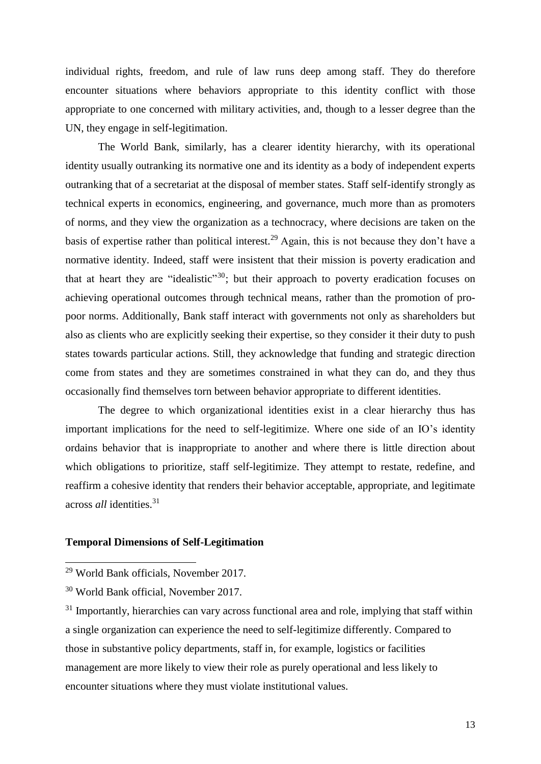individual rights, freedom, and rule of law runs deep among staff. They do therefore encounter situations where behaviors appropriate to this identity conflict with those appropriate to one concerned with military activities, and, though to a lesser degree than the UN, they engage in self-legitimation.

The World Bank, similarly, has a clearer identity hierarchy, with its operational identity usually outranking its normative one and its identity as a body of independent experts outranking that of a secretariat at the disposal of member states. Staff self-identify strongly as technical experts in economics, engineering, and governance, much more than as promoters of norms, and they view the organization as a technocracy, where decisions are taken on the basis of expertise rather than political interest.<sup>29</sup> Again, this is not because they don't have a normative identity. Indeed, staff were insistent that their mission is poverty eradication and that at heart they are "idealistic"<sup>30</sup>; but their approach to poverty eradication focuses on achieving operational outcomes through technical means, rather than the promotion of propoor norms. Additionally, Bank staff interact with governments not only as shareholders but also as clients who are explicitly seeking their expertise, so they consider it their duty to push states towards particular actions. Still, they acknowledge that funding and strategic direction come from states and they are sometimes constrained in what they can do, and they thus occasionally find themselves torn between behavior appropriate to different identities.

The degree to which organizational identities exist in a clear hierarchy thus has important implications for the need to self-legitimize. Where one side of an IO's identity ordains behavior that is inappropriate to another and where there is little direction about which obligations to prioritize, staff self-legitimize. They attempt to restate, redefine, and reaffirm a cohesive identity that renders their behavior acceptable, appropriate, and legitimate across *all* identities. 31

#### **Temporal Dimensions of Self-Legitimation**

<sup>29</sup> World Bank officials, November 2017.

<sup>30</sup> World Bank official, November 2017.

<sup>&</sup>lt;sup>31</sup> Importantly, hierarchies can vary across functional area and role, implying that staff within a single organization can experience the need to self-legitimize differently. Compared to those in substantive policy departments, staff in, for example, logistics or facilities management are more likely to view their role as purely operational and less likely to encounter situations where they must violate institutional values.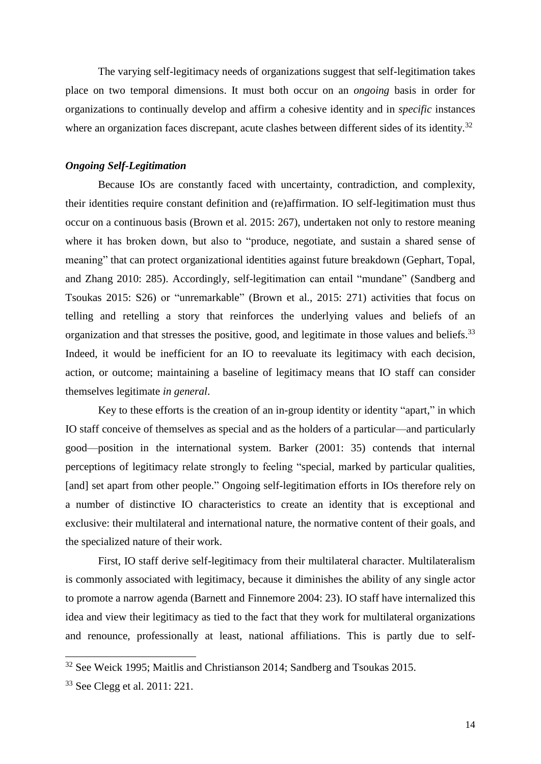The varying self-legitimacy needs of organizations suggest that self-legitimation takes place on two temporal dimensions. It must both occur on an *ongoing* basis in order for organizations to continually develop and affirm a cohesive identity and in *specific* instances where an organization faces discrepant, acute clashes between different sides of its identity.<sup>32</sup>

# *Ongoing Self-Legitimation*

Because IOs are constantly faced with uncertainty, contradiction, and complexity, their identities require constant definition and (re)affirmation. IO self-legitimation must thus occur on a continuous basis (Brown et al. 2015: 267), undertaken not only to restore meaning where it has broken down, but also to "produce, negotiate, and sustain a shared sense of meaning" that can protect organizational identities against future breakdown (Gephart, Topal, and Zhang 2010: 285). Accordingly, self-legitimation can entail "mundane" (Sandberg and Tsoukas 2015: S26) or "unremarkable" (Brown et al., 2015: 271) activities that focus on telling and retelling a story that reinforces the underlying values and beliefs of an organization and that stresses the positive, good, and legitimate in those values and beliefs.<sup>33</sup> Indeed, it would be inefficient for an IO to reevaluate its legitimacy with each decision, action, or outcome; maintaining a baseline of legitimacy means that IO staff can consider themselves legitimate *in general*.

Key to these efforts is the creation of an in-group identity or identity "apart," in which IO staff conceive of themselves as special and as the holders of a particular—and particularly good—position in the international system. Barker (2001: 35) contends that internal perceptions of legitimacy relate strongly to feeling "special, marked by particular qualities, [and] set apart from other people." Ongoing self-legitimation efforts in IOs therefore rely on a number of distinctive IO characteristics to create an identity that is exceptional and exclusive: their multilateral and international nature, the normative content of their goals, and the specialized nature of their work.

First, IO staff derive self-legitimacy from their multilateral character. Multilateralism is commonly associated with legitimacy, because it diminishes the ability of any single actor to promote a narrow agenda (Barnett and Finnemore 2004: 23). IO staff have internalized this idea and view their legitimacy as tied to the fact that they work for multilateral organizations and renounce, professionally at least, national affiliations. This is partly due to self-

<sup>&</sup>lt;sup>32</sup> See Weick 1995; Maitlis and Christianson 2014; Sandberg and Tsoukas 2015.

<sup>33</sup> See Clegg et al. 2011: 221.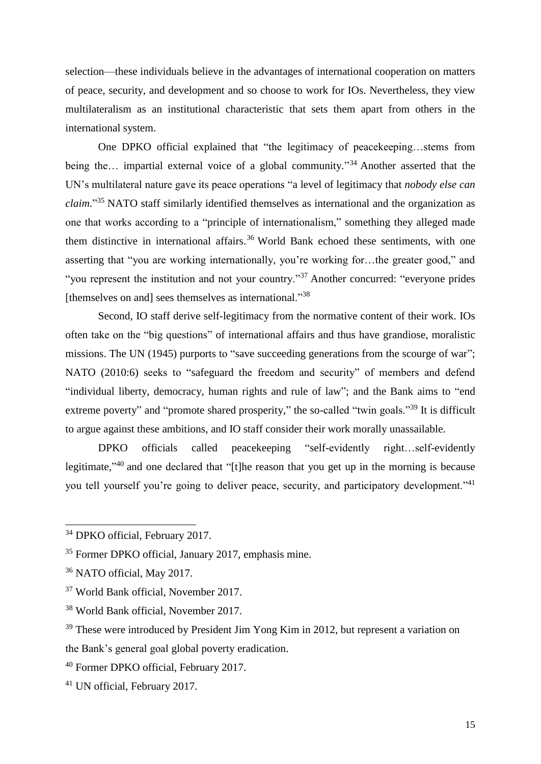selection—these individuals believe in the advantages of international cooperation on matters of peace, security, and development and so choose to work for IOs. Nevertheless, they view multilateralism as an institutional characteristic that sets them apart from others in the international system.

One DPKO official explained that "the legitimacy of peacekeeping…stems from being the... impartial external voice of a global community."<sup>34</sup> Another asserted that the UN's multilateral nature gave its peace operations "a level of legitimacy that *nobody else can claim*." <sup>35</sup> NATO staff similarly identified themselves as international and the organization as one that works according to a "principle of internationalism," something they alleged made them distinctive in international affairs. <sup>36</sup> World Bank echoed these sentiments, with one asserting that "you are working internationally, you're working for…the greater good," and "you represent the institution and not your country."<sup>37</sup> Another concurred: "everyone prides [themselves on and] sees themselves as international."38

Second, IO staff derive self-legitimacy from the normative content of their work. IOs often take on the "big questions" of international affairs and thus have grandiose, moralistic missions. The UN (1945) purports to "save succeeding generations from the scourge of war"; NATO (2010:6) seeks to "safeguard the freedom and security" of members and defend "individual liberty, democracy, human rights and rule of law"; and the Bank aims to "end extreme poverty" and "promote shared prosperity," the so-called "twin goals."<sup>39</sup> It is difficult to argue against these ambitions, and IO staff consider their work morally unassailable.

DPKO officials called peacekeeping "self-evidently right…self-evidently legitimate,"<sup>40</sup> and one declared that "[t]he reason that you get up in the morning is because you tell yourself you're going to deliver peace, security, and participatory development."<sup>41</sup>

<sup>34</sup> DPKO official, February 2017.

<sup>35</sup> Former DPKO official, January 2017, emphasis mine.

<sup>36</sup> NATO official, May 2017.

<sup>37</sup> World Bank official, November 2017.

<sup>38</sup> World Bank official, November 2017.

<sup>&</sup>lt;sup>39</sup> These were introduced by President Jim Yong Kim in 2012, but represent a variation on the Bank's general goal global poverty eradication.

<sup>40</sup> Former DPKO official, February 2017.

<sup>41</sup> UN official, February 2017.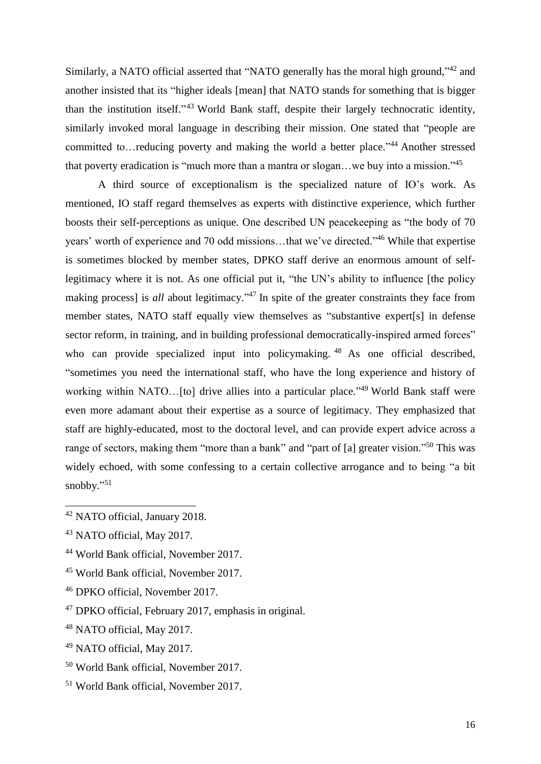Similarly, a NATO official asserted that "NATO generally has the moral high ground,"<sup>42</sup> and another insisted that its "higher ideals [mean] that NATO stands for something that is bigger than the institution itself."<sup>43</sup> World Bank staff, despite their largely technocratic identity, similarly invoked moral language in describing their mission. One stated that "people are committed to...reducing poverty and making the world a better place."<sup>44</sup> Another stressed that poverty eradication is "much more than a mantra or slogan...we buy into a mission."<sup>45</sup>

A third source of exceptionalism is the specialized nature of IO's work. As mentioned, IO staff regard themselves as experts with distinctive experience, which further boosts their self-perceptions as unique. One described UN peacekeeping as "the body of 70 years' worth of experience and 70 odd missions...that we've directed."<sup>46</sup> While that expertise is sometimes blocked by member states, DPKO staff derive an enormous amount of selflegitimacy where it is not. As one official put it, "the UN's ability to influence [the policy making process] is *all* about legitimacy." <sup>47</sup> In spite of the greater constraints they face from member states, NATO staff equally view themselves as "substantive expert[s] in defense sector reform, in training, and in building professional democratically-inspired armed forces" who can provide specialized input into policymaking. <sup>48</sup> As one official described, "sometimes you need the international staff, who have the long experience and history of working within NATO...[to] drive allies into a particular place."<sup>49</sup> World Bank staff were even more adamant about their expertise as a source of legitimacy. They emphasized that staff are highly-educated, most to the doctoral level, and can provide expert advice across a range of sectors, making them "more than a bank" and "part of [a] greater vision."<sup>50</sup> This was widely echoed, with some confessing to a certain collective arrogance and to being "a bit snobby."<sup>51</sup>

- <sup>45</sup> World Bank official, November 2017.
- <sup>46</sup> DPKO official, November 2017.

- <sup>49</sup> NATO official, May 2017.
- <sup>50</sup> World Bank official, November 2017.
- <sup>51</sup> World Bank official, November 2017.

<sup>42</sup> NATO official, January 2018.

<sup>43</sup> NATO official, May 2017.

<sup>44</sup> World Bank official, November 2017.

<sup>47</sup> DPKO official, February 2017, emphasis in original.

<sup>48</sup> NATO official, May 2017.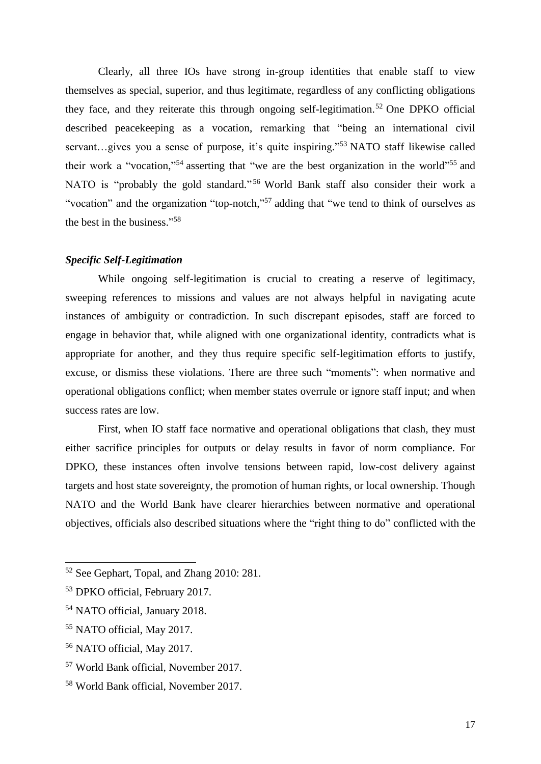Clearly, all three IOs have strong in-group identities that enable staff to view themselves as special, superior, and thus legitimate, regardless of any conflicting obligations they face, and they reiterate this through ongoing self-legitimation. <sup>52</sup> One DPKO official described peacekeeping as a vocation, remarking that "being an international civil servant...gives you a sense of purpose, it's quite inspiring."<sup>53</sup> NATO staff likewise called their work a "vocation,"<sup>54</sup> asserting that "we are the best organization in the world"<sup>55</sup> and NATO is "probably the gold standard." <sup>56</sup> World Bank staff also consider their work a "vocation" and the organization "top-notch,"<sup>57</sup> adding that "we tend to think of ourselves as the best in the business." 58

# *Specific Self-Legitimation*

While ongoing self-legitimation is crucial to creating a reserve of legitimacy, sweeping references to missions and values are not always helpful in navigating acute instances of ambiguity or contradiction. In such discrepant episodes, staff are forced to engage in behavior that, while aligned with one organizational identity, contradicts what is appropriate for another, and they thus require specific self-legitimation efforts to justify, excuse, or dismiss these violations. There are three such "moments": when normative and operational obligations conflict; when member states overrule or ignore staff input; and when success rates are low.

First, when IO staff face normative and operational obligations that clash, they must either sacrifice principles for outputs or delay results in favor of norm compliance. For DPKO, these instances often involve tensions between rapid, low-cost delivery against targets and host state sovereignty, the promotion of human rights, or local ownership. Though NATO and the World Bank have clearer hierarchies between normative and operational objectives, officials also described situations where the "right thing to do" conflicted with the

<sup>&</sup>lt;sup>52</sup> See Gephart, Topal, and Zhang 2010: 281.

<sup>53</sup> DPKO official, February 2017.

<sup>54</sup> NATO official, January 2018.

<sup>55</sup> NATO official, May 2017.

<sup>56</sup> NATO official, May 2017.

<sup>57</sup> World Bank official, November 2017.

<sup>58</sup> World Bank official, November 2017.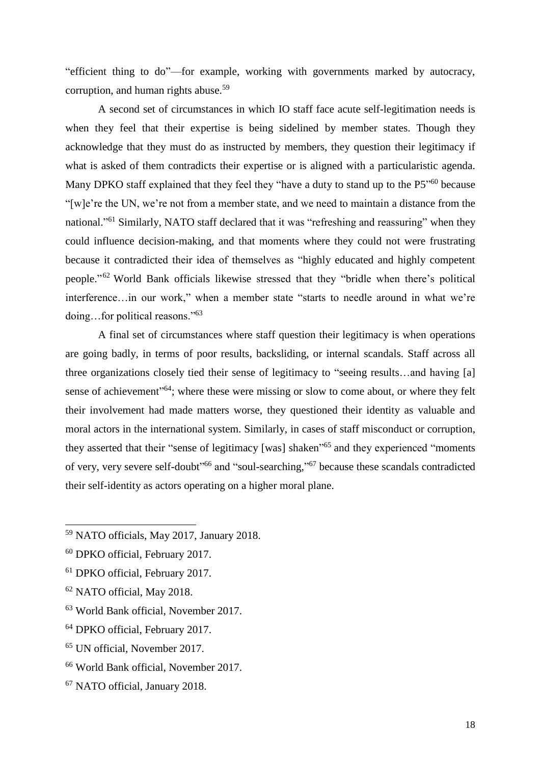"efficient thing to do"—for example, working with governments marked by autocracy, corruption, and human rights abuse.<sup>59</sup>

A second set of circumstances in which IO staff face acute self-legitimation needs is when they feel that their expertise is being sidelined by member states. Though they acknowledge that they must do as instructed by members, they question their legitimacy if what is asked of them contradicts their expertise or is aligned with a particularistic agenda. Many DPKO staff explained that they feel they "have a duty to stand up to the P5"<sup>60</sup> because "[w]e're the UN, we're not from a member state, and we need to maintain a distance from the national."<sup>61</sup> Similarly, NATO staff declared that it was "refreshing and reassuring" when they could influence decision-making, and that moments where they could not were frustrating because it contradicted their idea of themselves as "highly educated and highly competent people."<sup>62</sup> World Bank officials likewise stressed that they "bridle when there's political interference…in our work," when a member state "starts to needle around in what we're doing…for political reasons." 63

A final set of circumstances where staff question their legitimacy is when operations are going badly, in terms of poor results, backsliding, or internal scandals. Staff across all three organizations closely tied their sense of legitimacy to "seeing results…and having [a] sense of achievement"<sup>64</sup>; where these were missing or slow to come about, or where they felt their involvement had made matters worse, they questioned their identity as valuable and moral actors in the international system. Similarly, in cases of staff misconduct or corruption, they asserted that their "sense of legitimacy [was] shaken<sup>165</sup> and they experienced "moments of very, very severe self-doubt<sup>166</sup> and "soul-searching,"<sup>67</sup> because these scandals contradicted their self-identity as actors operating on a higher moral plane.

- <sup>61</sup> DPKO official, February 2017.
- <sup>62</sup> NATO official, May 2018.

- <sup>63</sup> World Bank official, November 2017.
- <sup>64</sup> DPKO official, February 2017.
- <sup>65</sup> UN official, November 2017.
- <sup>66</sup> World Bank official, November 2017.
- <sup>67</sup> NATO official, January 2018.

<sup>59</sup> NATO officials, May 2017, January 2018.

<sup>60</sup> DPKO official, February 2017.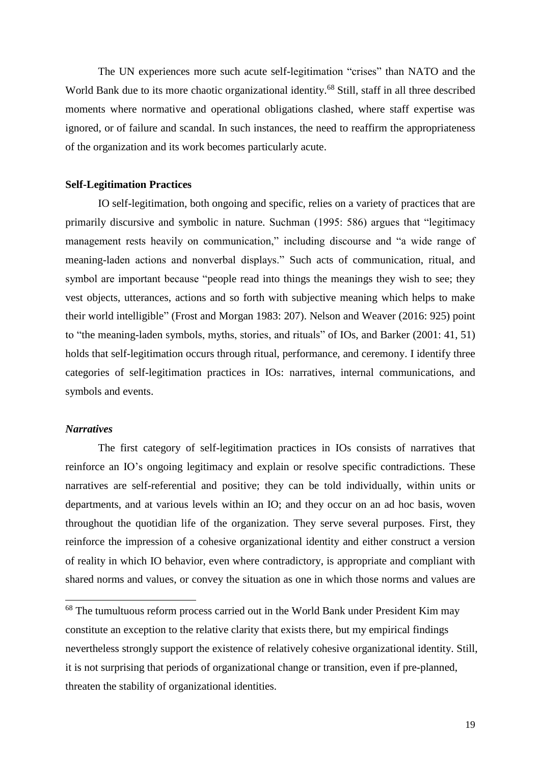The UN experiences more such acute self-legitimation "crises" than NATO and the World Bank due to its more chaotic organizational identity.<sup>68</sup> Still, staff in all three described moments where normative and operational obligations clashed, where staff expertise was ignored, or of failure and scandal. In such instances, the need to reaffirm the appropriateness of the organization and its work becomes particularly acute.

# **Self-Legitimation Practices**

IO self-legitimation, both ongoing and specific, relies on a variety of practices that are primarily discursive and symbolic in nature. Suchman (1995: 586) argues that "legitimacy management rests heavily on communication," including discourse and "a wide range of meaning-laden actions and nonverbal displays." Such acts of communication, ritual, and symbol are important because "people read into things the meanings they wish to see; they vest objects, utterances, actions and so forth with subjective meaning which helps to make their world intelligible" (Frost and Morgan 1983: 207). Nelson and Weaver (2016: 925) point to "the meaning-laden symbols, myths, stories, and rituals" of IOs, and Barker (2001: 41, 51) holds that self-legitimation occurs through ritual, performance, and ceremony. I identify three categories of self-legitimation practices in IOs: narratives, internal communications, and symbols and events.

# *Narratives*

l

The first category of self-legitimation practices in IOs consists of narratives that reinforce an IO's ongoing legitimacy and explain or resolve specific contradictions. These narratives are self-referential and positive; they can be told individually, within units or departments, and at various levels within an IO; and they occur on an ad hoc basis, woven throughout the quotidian life of the organization. They serve several purposes. First, they reinforce the impression of a cohesive organizational identity and either construct a version of reality in which IO behavior, even where contradictory, is appropriate and compliant with shared norms and values, or convey the situation as one in which those norms and values are

<sup>&</sup>lt;sup>68</sup> The tumultuous reform process carried out in the World Bank under President Kim may constitute an exception to the relative clarity that exists there, but my empirical findings nevertheless strongly support the existence of relatively cohesive organizational identity. Still, it is not surprising that periods of organizational change or transition, even if pre-planned, threaten the stability of organizational identities.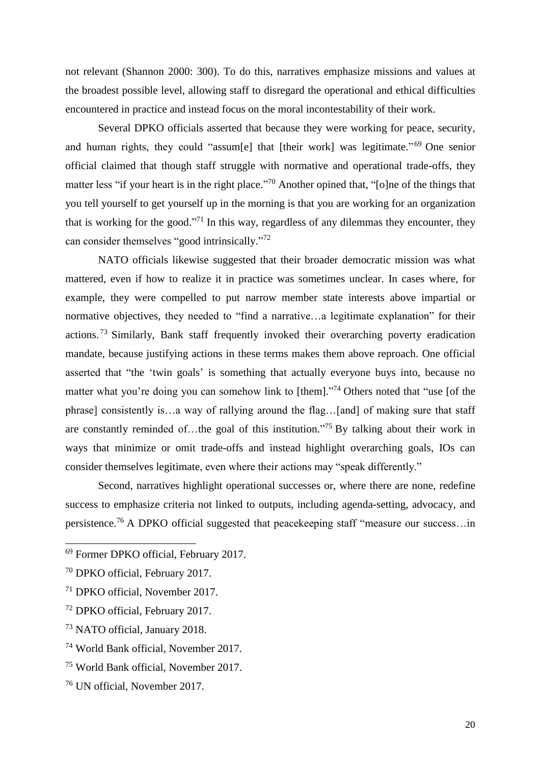not relevant (Shannon 2000: 300). To do this, narratives emphasize missions and values at the broadest possible level, allowing staff to disregard the operational and ethical difficulties encountered in practice and instead focus on the moral incontestability of their work.

Several DPKO officials asserted that because they were working for peace, security, and human rights, they could "assum[e] that [their work] was legitimate."<sup>69</sup> One senior official claimed that though staff struggle with normative and operational trade-offs, they matter less "if your heart is in the right place."<sup>70</sup> Another opined that, "[o]ne of the things that you tell yourself to get yourself up in the morning is that you are working for an organization that is working for the good."<sup>71</sup> In this way, regardless of any dilemmas they encounter, they can consider themselves "good intrinsically."<sup>72</sup>

NATO officials likewise suggested that their broader democratic mission was what mattered, even if how to realize it in practice was sometimes unclear. In cases where, for example, they were compelled to put narrow member state interests above impartial or normative objectives, they needed to "find a narrative…a legitimate explanation" for their actions.<sup>73</sup> Similarly, Bank staff frequently invoked their overarching poverty eradication mandate, because justifying actions in these terms makes them above reproach. One official asserted that "the 'twin goals' is something that actually everyone buys into, because no matter what you're doing you can somehow link to [them]."<sup>74</sup> Others noted that "use [of the phrase] consistently is…a way of rallying around the flag…[and] of making sure that staff are constantly reminded of...the goal of this institution."<sup>75</sup> By talking about their work in ways that minimize or omit trade-offs and instead highlight overarching goals, IOs can consider themselves legitimate, even where their actions may "speak differently."

Second, narratives highlight operational successes or, where there are none, redefine success to emphasize criteria not linked to outputs, including agenda-setting, advocacy, and persistence.<sup>76</sup> A DPKO official suggested that peacekeeping staff "measure our success...in

 $\overline{a}$ 

<sup>69</sup> Former DPKO official, February 2017.

<sup>70</sup> DPKO official, February 2017.

<sup>71</sup> DPKO official, November 2017.

<sup>72</sup> DPKO official, February 2017.

<sup>73</sup> NATO official, January 2018.

<sup>74</sup> World Bank official, November 2017.

<sup>75</sup> World Bank official, November 2017.

<sup>76</sup> UN official, November 2017.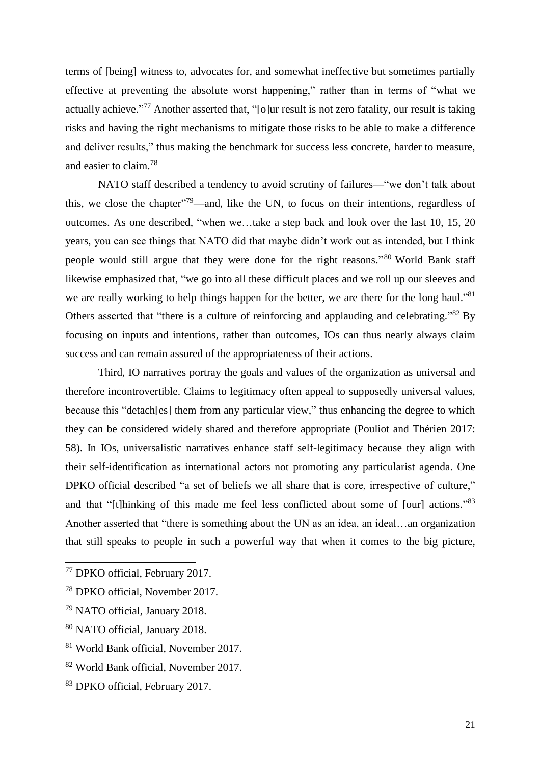terms of [being] witness to, advocates for, and somewhat ineffective but sometimes partially effective at preventing the absolute worst happening," rather than in terms of "what we actually achieve."<sup>77</sup> Another asserted that, "[o]ur result is not zero fatality, our result is taking risks and having the right mechanisms to mitigate those risks to be able to make a difference and deliver results," thus making the benchmark for success less concrete, harder to measure, and easier to claim. 78

NATO staff described a tendency to avoid scrutiny of failures—"we don't talk about this, we close the chapter<sup> $179$ </sup>—and, like the UN, to focus on their intentions, regardless of outcomes. As one described, "when we…take a step back and look over the last 10, 15, 20 years, you can see things that NATO did that maybe didn't work out as intended, but I think people would still argue that they were done for the right reasons."<sup>80</sup> World Bank staff likewise emphasized that, "we go into all these difficult places and we roll up our sleeves and we are really working to help things happen for the better, we are there for the long haul."<sup>81</sup> Others asserted that "there is a culture of reinforcing and applauding and celebrating."<sup>82</sup> By focusing on inputs and intentions, rather than outcomes, IOs can thus nearly always claim success and can remain assured of the appropriateness of their actions.

Third, IO narratives portray the goals and values of the organization as universal and therefore incontrovertible. Claims to legitimacy often appeal to supposedly universal values, because this "detach[es] them from any particular view," thus enhancing the degree to which they can be considered widely shared and therefore appropriate (Pouliot and Thérien 2017: 58). In IOs, universalistic narratives enhance staff self-legitimacy because they align with their self-identification as international actors not promoting any particularist agenda. One DPKO official described "a set of beliefs we all share that is core, irrespective of culture," and that "[t]hinking of this made me feel less conflicted about some of [our] actions."<sup>83</sup> Another asserted that "there is something about the UN as an idea, an ideal…an organization that still speaks to people in such a powerful way that when it comes to the big picture,

<sup>77</sup> DPKO official, February 2017.

<sup>78</sup> DPKO official, November 2017.

<sup>79</sup> NATO official, January 2018.

<sup>80</sup> NATO official, January 2018.

<sup>81</sup> World Bank official, November 2017.

<sup>82</sup> World Bank official, November 2017.

<sup>83</sup> DPKO official, February 2017.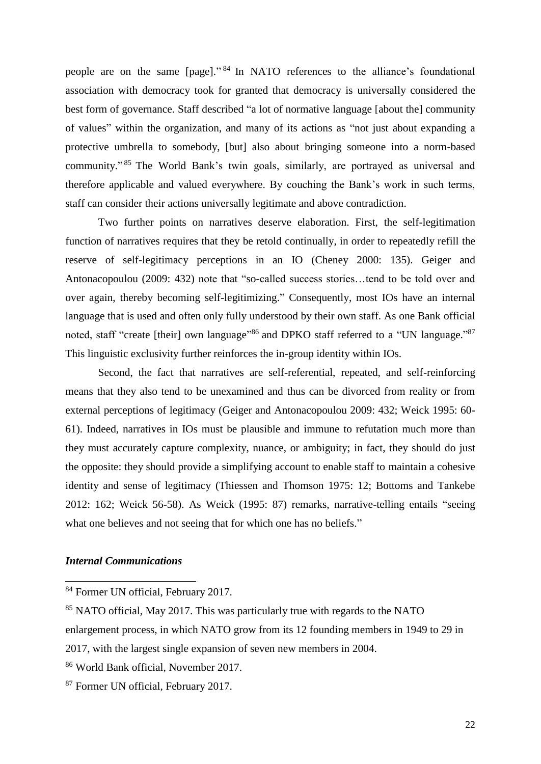people are on the same [page]."<sup>84</sup> In NATO references to the alliance's foundational association with democracy took for granted that democracy is universally considered the best form of governance. Staff described "a lot of normative language [about the] community of values" within the organization, and many of its actions as "not just about expanding a protective umbrella to somebody, [but] also about bringing someone into a norm-based community."<sup>85</sup> The World Bank's twin goals, similarly, are portrayed as universal and therefore applicable and valued everywhere. By couching the Bank's work in such terms, staff can consider their actions universally legitimate and above contradiction.

Two further points on narratives deserve elaboration. First, the self-legitimation function of narratives requires that they be retold continually, in order to repeatedly refill the reserve of self-legitimacy perceptions in an IO (Cheney 2000: 135). Geiger and Antonacopoulou (2009: 432) note that "so-called success stories…tend to be told over and over again, thereby becoming self-legitimizing." Consequently, most IOs have an internal language that is used and often only fully understood by their own staff. As one Bank official noted, staff "create [their] own language"<sup>86</sup> and DPKO staff referred to a "UN language."<sup>87</sup> This linguistic exclusivity further reinforces the in-group identity within IOs.

Second, the fact that narratives are self-referential, repeated, and self-reinforcing means that they also tend to be unexamined and thus can be divorced from reality or from external perceptions of legitimacy (Geiger and Antonacopoulou 2009: 432; Weick 1995: 60- 61). Indeed, narratives in IOs must be plausible and immune to refutation much more than they must accurately capture complexity, nuance, or ambiguity; in fact, they should do just the opposite: they should provide a simplifying account to enable staff to maintain a cohesive identity and sense of legitimacy (Thiessen and Thomson 1975: 12; Bottoms and Tankebe 2012: 162; Weick 56-58). As Weick (1995: 87) remarks, narrative-telling entails "seeing what one believes and not seeing that for which one has no beliefs."

# *Internal Communications*

<sup>84</sup> Former UN official, February 2017.

<sup>&</sup>lt;sup>85</sup> NATO official, May 2017. This was particularly true with regards to the NATO

enlargement process, in which NATO grow from its 12 founding members in 1949 to 29 in

<sup>2017,</sup> with the largest single expansion of seven new members in 2004.

<sup>86</sup> World Bank official, November 2017.

<sup>87</sup> Former UN official, February 2017.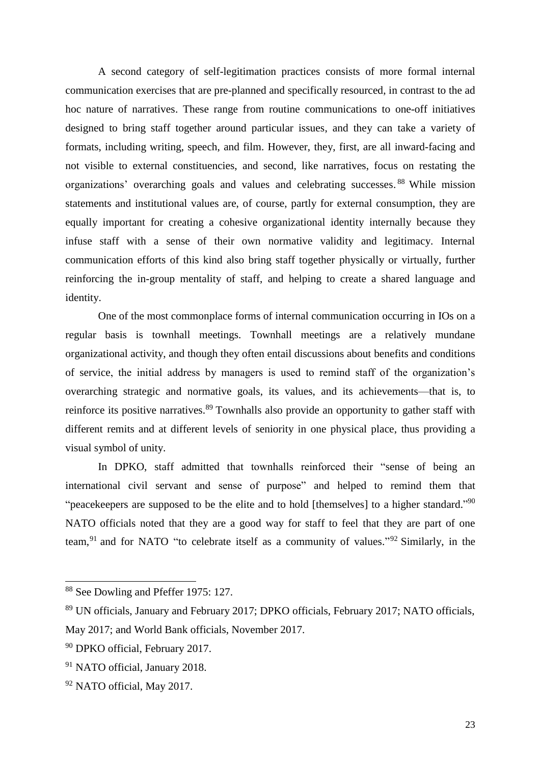A second category of self-legitimation practices consists of more formal internal communication exercises that are pre-planned and specifically resourced, in contrast to the ad hoc nature of narratives. These range from routine communications to one-off initiatives designed to bring staff together around particular issues, and they can take a variety of formats, including writing, speech, and film. However, they, first, are all inward-facing and not visible to external constituencies, and second, like narratives, focus on restating the organizations' overarching goals and values and celebrating successes. <sup>88</sup> While mission statements and institutional values are, of course, partly for external consumption, they are equally important for creating a cohesive organizational identity internally because they infuse staff with a sense of their own normative validity and legitimacy. Internal communication efforts of this kind also bring staff together physically or virtually, further reinforcing the in-group mentality of staff, and helping to create a shared language and identity.

One of the most commonplace forms of internal communication occurring in IOs on a regular basis is townhall meetings. Townhall meetings are a relatively mundane organizational activity, and though they often entail discussions about benefits and conditions of service, the initial address by managers is used to remind staff of the organization's overarching strategic and normative goals, its values, and its achievements—that is, to reinforce its positive narratives.<sup>89</sup> Townhalls also provide an opportunity to gather staff with different remits and at different levels of seniority in one physical place, thus providing a visual symbol of unity.

In DPKO, staff admitted that townhalls reinforced their "sense of being an international civil servant and sense of purpose" and helped to remind them that "peacekeepers are supposed to be the elite and to hold [themselves] to a higher standard."<sup>90</sup> NATO officials noted that they are a good way for staff to feel that they are part of one team,<sup>91</sup> and for NATO "to celebrate itself as a community of values."<sup>92</sup> Similarly, in the

<sup>88</sup> See Dowling and Pfeffer 1975: 127.

<sup>89</sup> UN officials, January and February 2017; DPKO officials, February 2017; NATO officials, May 2017; and World Bank officials, November 2017.

<sup>90</sup> DPKO official, February 2017.

<sup>91</sup> NATO official, January 2018.

<sup>92</sup> NATO official, May 2017.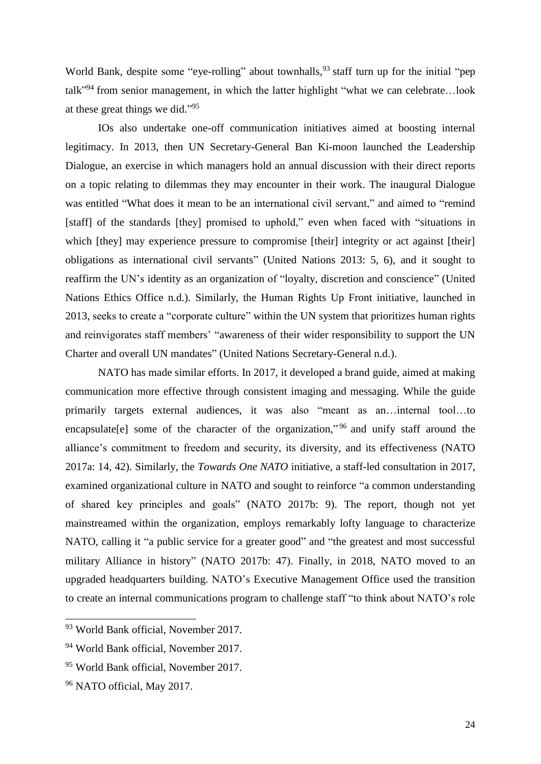World Bank, despite some "eye-rolling" about townhalls, <sup>93</sup> staff turn up for the initial "pep talk<sup>"94</sup> from senior management, in which the latter highlight "what we can celebrate...look at these great things we did."<sup>95</sup>

IOs also undertake one-off communication initiatives aimed at boosting internal legitimacy. In 2013, then UN Secretary-General Ban Ki-moon launched the Leadership Dialogue, an exercise in which managers hold an annual discussion with their direct reports on a topic relating to dilemmas they may encounter in their work. The inaugural Dialogue was entitled "What does it mean to be an international civil servant," and aimed to "remind [staff] of the standards [they] promised to uphold," even when faced with "situations in which [they] may experience pressure to compromise [their] integrity or act against [their] obligations as international civil servants" (United Nations 2013: 5, 6), and it sought to reaffirm the UN's identity as an organization of "loyalty, discretion and conscience" (United Nations Ethics Office n.d.). Similarly, the Human Rights Up Front initiative, launched in 2013, seeks to create a "corporate culture" within the UN system that prioritizes human rights and reinvigorates staff members' "awareness of their wider responsibility to support the UN Charter and overall UN mandates" (United Nations Secretary-General n.d.).

NATO has made similar efforts. In 2017, it developed a brand guide, aimed at making communication more effective through consistent imaging and messaging. While the guide primarily targets external audiences, it was also "meant as an…internal tool…to encapsulate[e] some of the character of the organization,"<sup>96</sup> and unify staff around the alliance's commitment to freedom and security, its diversity, and its effectiveness (NATO 2017a: 14, 42). Similarly, the *Towards One NATO* initiative, a staff-led consultation in 2017, examined organizational culture in NATO and sought to reinforce "a common understanding of shared key principles and goals" (NATO 2017b: 9). The report, though not yet mainstreamed within the organization, employs remarkably lofty language to characterize NATO, calling it "a public service for a greater good" and "the greatest and most successful military Alliance in history" (NATO 2017b: 47). Finally, in 2018, NATO moved to an upgraded headquarters building. NATO's Executive Management Office used the transition to create an internal communications program to challenge staff "to think about NATO's role

 $\overline{a}$ 

<sup>&</sup>lt;sup>93</sup> World Bank official, November 2017.

<sup>94</sup> World Bank official, November 2017.

<sup>95</sup> World Bank official, November 2017.

<sup>96</sup> NATO official, May 2017.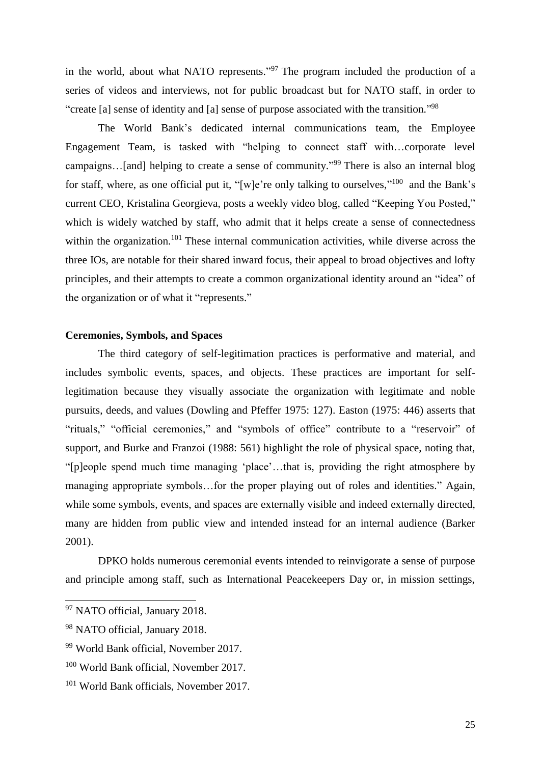in the world, about what NATO represents."<sup>97</sup> The program included the production of a series of videos and interviews, not for public broadcast but for NATO staff, in order to "create [a] sense of identity and [a] sense of purpose associated with the transition."<sup>98</sup>

The World Bank's dedicated internal communications team, the Employee Engagement Team, is tasked with "helping to connect staff with…corporate level campaigns...[and] helping to create a sense of community."<sup>99</sup> There is also an internal blog for staff, where, as one official put it, "[w]e're only talking to ourselves,"<sup>100</sup> and the Bank's current CEO, Kristalina Georgieva, posts a weekly video blog, called "Keeping You Posted," which is widely watched by staff, who admit that it helps create a sense of connectedness within the organization.<sup>101</sup> These internal communication activities, while diverse across the three IOs, are notable for their shared inward focus, their appeal to broad objectives and lofty principles, and their attempts to create a common organizational identity around an "idea" of the organization or of what it "represents."

# **Ceremonies, Symbols, and Spaces**

The third category of self-legitimation practices is performative and material, and includes symbolic events, spaces, and objects. These practices are important for selflegitimation because they visually associate the organization with legitimate and noble pursuits, deeds, and values (Dowling and Pfeffer 1975: 127). Easton (1975: 446) asserts that "rituals," "official ceremonies," and "symbols of office" contribute to a "reservoir" of support, and Burke and Franzoi (1988: 561) highlight the role of physical space, noting that, "[p]eople spend much time managing 'place'…that is, providing the right atmosphere by managing appropriate symbols…for the proper playing out of roles and identities." Again, while some symbols, events, and spaces are externally visible and indeed externally directed, many are hidden from public view and intended instead for an internal audience (Barker 2001).

DPKO holds numerous ceremonial events intended to reinvigorate a sense of purpose and principle among staff, such as International Peacekeepers Day or, in mission settings,

<sup>&</sup>lt;sup>97</sup> NATO official, January 2018.

<sup>&</sup>lt;sup>98</sup> NATO official, January 2018.

<sup>99</sup> World Bank official, November 2017.

<sup>100</sup> World Bank official, November 2017.

<sup>101</sup> World Bank officials, November 2017.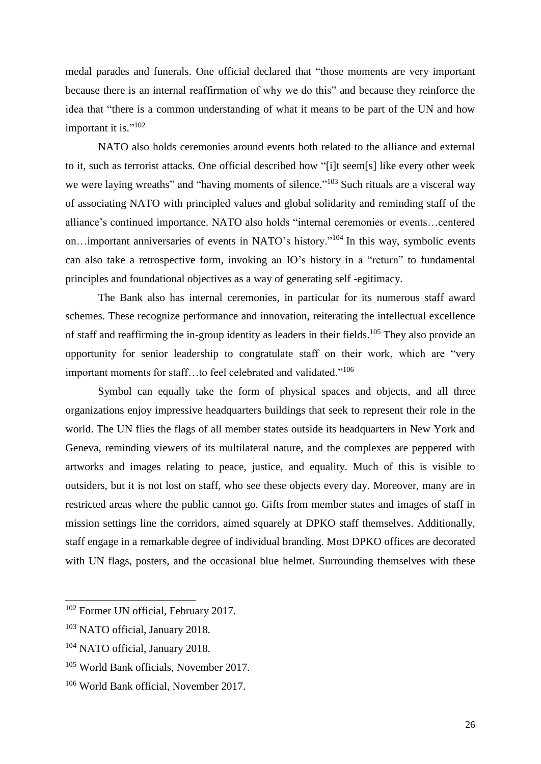medal parades and funerals. One official declared that "those moments are very important because there is an internal reaffirmation of why we do this" and because they reinforce the idea that "there is a common understanding of what it means to be part of the UN and how important it is."<sup>102</sup>

NATO also holds ceremonies around events both related to the alliance and external to it, such as terrorist attacks. One official described how "[i]t seem[s] like every other week we were laying wreaths" and "having moments of silence."<sup>103</sup> Such rituals are a visceral way of associating NATO with principled values and global solidarity and reminding staff of the alliance's continued importance. NATO also holds "internal ceremonies or events…centered on...important anniversaries of events in NATO's history."<sup>104</sup> In this way, symbolic events can also take a retrospective form, invoking an IO's history in a "return" to fundamental principles and foundational objectives as a way of generating self -egitimacy.

The Bank also has internal ceremonies, in particular for its numerous staff award schemes. These recognize performance and innovation, reiterating the intellectual excellence of staff and reaffirming the in-group identity as leaders in their fields.<sup>105</sup> They also provide an opportunity for senior leadership to congratulate staff on their work, which are "very important moments for staff...to feel celebrated and validated."<sup>106</sup>

Symbol can equally take the form of physical spaces and objects, and all three organizations enjoy impressive headquarters buildings that seek to represent their role in the world. The UN flies the flags of all member states outside its headquarters in New York and Geneva, reminding viewers of its multilateral nature, and the complexes are peppered with artworks and images relating to peace, justice, and equality. Much of this is visible to outsiders, but it is not lost on staff, who see these objects every day. Moreover, many are in restricted areas where the public cannot go. Gifts from member states and images of staff in mission settings line the corridors, aimed squarely at DPKO staff themselves. Additionally, staff engage in a remarkable degree of individual branding. Most DPKO offices are decorated with UN flags, posters, and the occasional blue helmet. Surrounding themselves with these

<sup>&</sup>lt;sup>102</sup> Former UN official, February 2017.

<sup>103</sup> NATO official, January 2018.

<sup>104</sup> NATO official, January 2018.

<sup>105</sup> World Bank officials, November 2017.

<sup>106</sup> World Bank official, November 2017.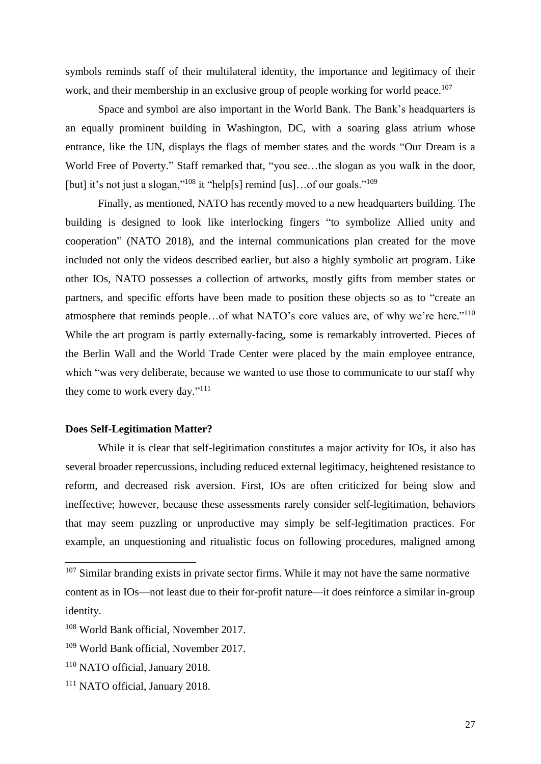symbols reminds staff of their multilateral identity, the importance and legitimacy of their work, and their membership in an exclusive group of people working for world peace.<sup>107</sup>

Space and symbol are also important in the World Bank. The Bank's headquarters is an equally prominent building in Washington, DC, with a soaring glass atrium whose entrance, like the UN, displays the flags of member states and the words "Our Dream is a World Free of Poverty." Staff remarked that, "you see...the slogan as you walk in the door, [but] it's not just a slogan,"<sup>108</sup> it "help[s] remind [us]...of our goals."<sup>109</sup>

Finally, as mentioned, NATO has recently moved to a new headquarters building. The building is designed to look like interlocking fingers "to symbolize Allied unity and cooperation" (NATO 2018), and the internal communications plan created for the move included not only the videos described earlier, but also a highly symbolic art program. Like other IOs, NATO possesses a collection of artworks, mostly gifts from member states or partners, and specific efforts have been made to position these objects so as to "create an atmosphere that reminds people...of what NATO's core values are, of why we're here."<sup>110</sup> While the art program is partly externally-facing, some is remarkably introverted. Pieces of the Berlin Wall and the World Trade Center were placed by the main employee entrance, which "was very deliberate, because we wanted to use those to communicate to our staff why they come to work every day."<sup>111</sup>

# **Does Self-Legitimation Matter?**

While it is clear that self-legitimation constitutes a major activity for IOs, it also has several broader repercussions, including reduced external legitimacy, heightened resistance to reform, and decreased risk aversion. First, IOs are often criticized for being slow and ineffective; however, because these assessments rarely consider self-legitimation, behaviors that may seem puzzling or unproductive may simply be self-legitimation practices. For example, an unquestioning and ritualistic focus on following procedures, maligned among

 $107$  Similar branding exists in private sector firms. While it may not have the same normative content as in IOs—not least due to their for-profit nature—it does reinforce a similar in-group identity.

<sup>&</sup>lt;sup>108</sup> World Bank official, November 2017.

<sup>109</sup> World Bank official, November 2017.

<sup>110</sup> NATO official, January 2018.

<sup>&</sup>lt;sup>111</sup> NATO official, January 2018.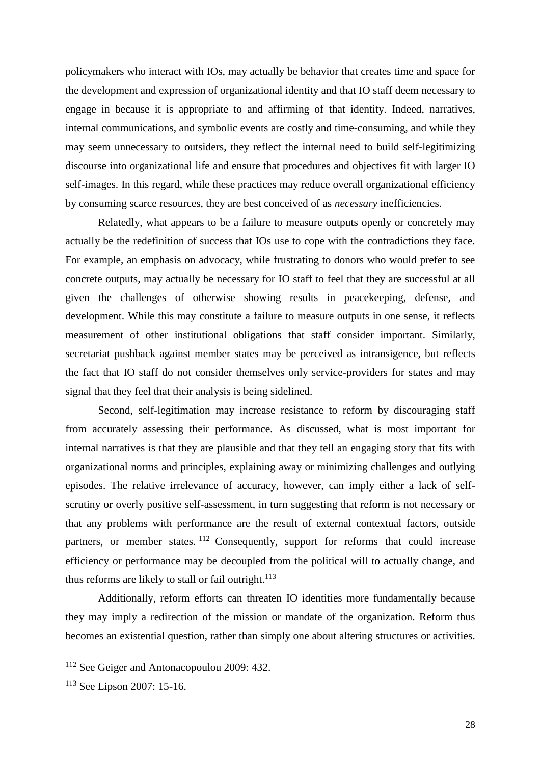policymakers who interact with IOs, may actually be behavior that creates time and space for the development and expression of organizational identity and that IO staff deem necessary to engage in because it is appropriate to and affirming of that identity. Indeed, narratives, internal communications, and symbolic events are costly and time-consuming, and while they may seem unnecessary to outsiders, they reflect the internal need to build self-legitimizing discourse into organizational life and ensure that procedures and objectives fit with larger IO self-images. In this regard, while these practices may reduce overall organizational efficiency by consuming scarce resources, they are best conceived of as *necessary* inefficiencies.

Relatedly, what appears to be a failure to measure outputs openly or concretely may actually be the redefinition of success that IOs use to cope with the contradictions they face. For example, an emphasis on advocacy, while frustrating to donors who would prefer to see concrete outputs, may actually be necessary for IO staff to feel that they are successful at all given the challenges of otherwise showing results in peacekeeping, defense, and development. While this may constitute a failure to measure outputs in one sense, it reflects measurement of other institutional obligations that staff consider important. Similarly, secretariat pushback against member states may be perceived as intransigence, but reflects the fact that IO staff do not consider themselves only service-providers for states and may signal that they feel that their analysis is being sidelined.

Second, self-legitimation may increase resistance to reform by discouraging staff from accurately assessing their performance. As discussed, what is most important for internal narratives is that they are plausible and that they tell an engaging story that fits with organizational norms and principles, explaining away or minimizing challenges and outlying episodes. The relative irrelevance of accuracy, however, can imply either a lack of selfscrutiny or overly positive self-assessment, in turn suggesting that reform is not necessary or that any problems with performance are the result of external contextual factors, outside partners, or member states. <sup>112</sup> Consequently, support for reforms that could increase efficiency or performance may be decoupled from the political will to actually change, and thus reforms are likely to stall or fail outright.<sup>113</sup>

Additionally, reform efforts can threaten IO identities more fundamentally because they may imply a redirection of the mission or mandate of the organization. Reform thus becomes an existential question, rather than simply one about altering structures or activities.

<sup>112</sup> See Geiger and Antonacopoulou 2009: 432.

<sup>113</sup> See Lipson 2007: 15-16.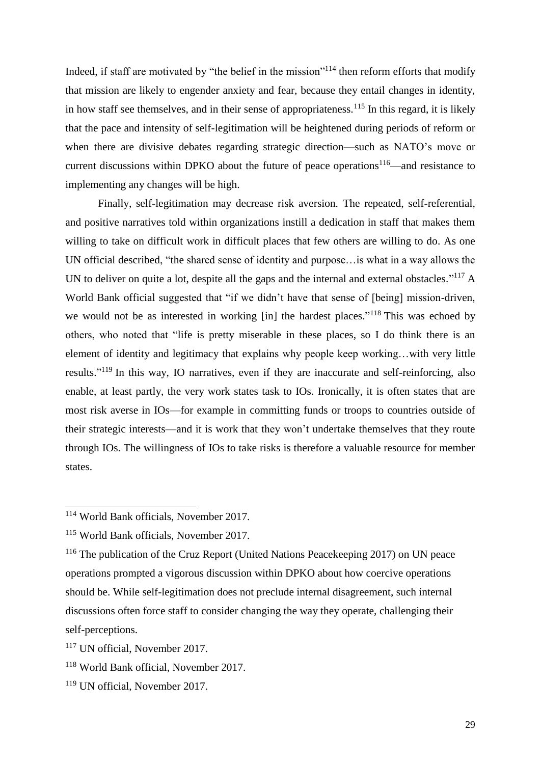Indeed, if staff are motivated by "the belief in the mission"<sup>114</sup> then reform efforts that modify that mission are likely to engender anxiety and fear, because they entail changes in identity, in how staff see themselves, and in their sense of appropriateness.<sup>115</sup> In this regard, it is likely that the pace and intensity of self-legitimation will be heightened during periods of reform or when there are divisive debates regarding strategic direction—such as NATO's move or current discussions within DPKO about the future of peace operations<sup>116—and</sup> resistance to implementing any changes will be high.

Finally, self-legitimation may decrease risk aversion. The repeated, self-referential, and positive narratives told within organizations instill a dedication in staff that makes them willing to take on difficult work in difficult places that few others are willing to do. As one UN official described, "the shared sense of identity and purpose…is what in a way allows the UN to deliver on quite a lot, despite all the gaps and the internal and external obstacles."<sup>117</sup> A World Bank official suggested that "if we didn't have that sense of [being] mission-driven, we would not be as interested in working [in] the hardest places."<sup>118</sup> This was echoed by others, who noted that "life is pretty miserable in these places, so I do think there is an element of identity and legitimacy that explains why people keep working…with very little results."<sup>119</sup> In this way, IO narratives, even if they are inaccurate and self-reinforcing, also enable, at least partly, the very work states task to IOs. Ironically, it is often states that are most risk averse in IOs—for example in committing funds or troops to countries outside of their strategic interests—and it is work that they won't undertake themselves that they route through IOs. The willingness of IOs to take risks is therefore a valuable resource for member states.

<sup>114</sup> World Bank officials, November 2017.

<sup>115</sup> World Bank officials, November 2017.

<sup>&</sup>lt;sup>116</sup> The publication of the Cruz Report (United Nations Peacekeeping 2017) on UN peace operations prompted a vigorous discussion within DPKO about how coercive operations should be. While self-legitimation does not preclude internal disagreement, such internal discussions often force staff to consider changing the way they operate, challenging their self-perceptions.

<sup>117</sup> UN official, November 2017.

<sup>118</sup> World Bank official, November 2017.

<sup>119</sup> UN official, November 2017.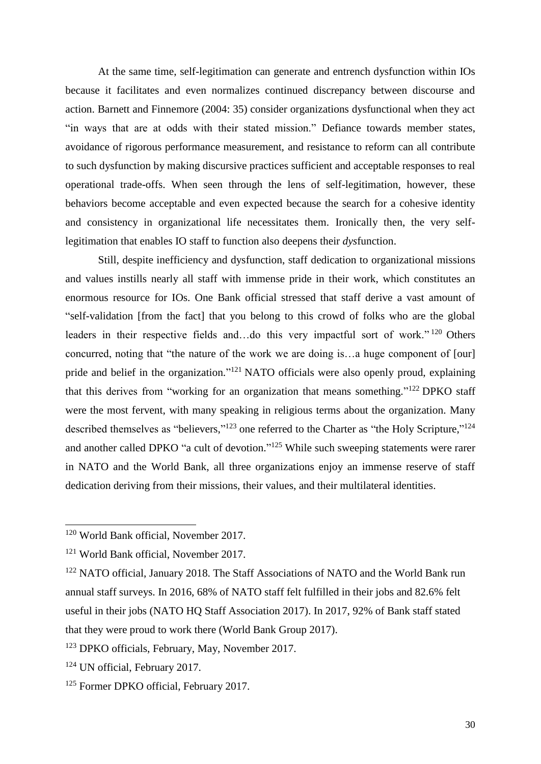At the same time, self-legitimation can generate and entrench dysfunction within IOs because it facilitates and even normalizes continued discrepancy between discourse and action. Barnett and Finnemore (2004: 35) consider organizations dysfunctional when they act "in ways that are at odds with their stated mission." Defiance towards member states, avoidance of rigorous performance measurement, and resistance to reform can all contribute to such dysfunction by making discursive practices sufficient and acceptable responses to real operational trade-offs. When seen through the lens of self-legitimation, however, these behaviors become acceptable and even expected because the search for a cohesive identity and consistency in organizational life necessitates them. Ironically then, the very selflegitimation that enables IO staff to function also deepens their *dys*function.

Still, despite inefficiency and dysfunction, staff dedication to organizational missions and values instills nearly all staff with immense pride in their work, which constitutes an enormous resource for IOs. One Bank official stressed that staff derive a vast amount of "self-validation [from the fact] that you belong to this crowd of folks who are the global leaders in their respective fields and...do this very impactful sort of work."<sup>120</sup> Others concurred, noting that "the nature of the work we are doing is…a huge component of [our] pride and belief in the organization."<sup>121</sup> NATO officials were also openly proud, explaining that this derives from "working for an organization that means something."<sup>122</sup> DPKO staff were the most fervent, with many speaking in religious terms about the organization. Many described themselves as "believers,"<sup>123</sup> one referred to the Charter as "the Holy Scripture,"<sup>124</sup> and another called DPKO "a cult of devotion."<sup>125</sup> While such sweeping statements were rarer in NATO and the World Bank, all three organizations enjoy an immense reserve of staff dedication deriving from their missions, their values, and their multilateral identities.

<sup>120</sup> World Bank official, November 2017.

<sup>&</sup>lt;sup>121</sup> World Bank official, November 2017.

<sup>&</sup>lt;sup>122</sup> NATO official, January 2018. The Staff Associations of NATO and the World Bank run annual staff surveys. In 2016, 68% of NATO staff felt fulfilled in their jobs and 82.6% felt useful in their jobs (NATO HQ Staff Association 2017). In 2017, 92% of Bank staff stated that they were proud to work there (World Bank Group 2017).

<sup>123</sup> DPKO officials, February, May, November 2017.

<sup>124</sup> UN official, February 2017.

<sup>125</sup> Former DPKO official, February 2017.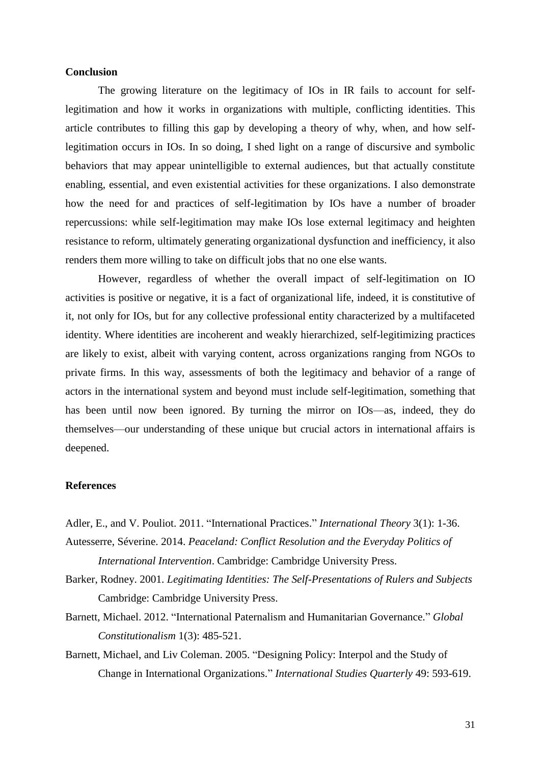#### **Conclusion**

The growing literature on the legitimacy of IOs in IR fails to account for selflegitimation and how it works in organizations with multiple, conflicting identities. This article contributes to filling this gap by developing a theory of why, when, and how selflegitimation occurs in IOs. In so doing, I shed light on a range of discursive and symbolic behaviors that may appear unintelligible to external audiences, but that actually constitute enabling, essential, and even existential activities for these organizations. I also demonstrate how the need for and practices of self-legitimation by IOs have a number of broader repercussions: while self-legitimation may make IOs lose external legitimacy and heighten resistance to reform, ultimately generating organizational dysfunction and inefficiency, it also renders them more willing to take on difficult jobs that no one else wants.

However, regardless of whether the overall impact of self-legitimation on IO activities is positive or negative, it is a fact of organizational life, indeed, it is constitutive of it, not only for IOs, but for any collective professional entity characterized by a multifaceted identity. Where identities are incoherent and weakly hierarchized, self-legitimizing practices are likely to exist, albeit with varying content, across organizations ranging from NGOs to private firms. In this way, assessments of both the legitimacy and behavior of a range of actors in the international system and beyond must include self-legitimation, something that has been until now been ignored. By turning the mirror on IOs—as, indeed, they do themselves—our understanding of these unique but crucial actors in international affairs is deepened.

#### **References**

Adler, E., and V. Pouliot. 2011. "International Practices." *International Theory* 3(1): 1-36.

Autesserre, Séverine. 2014. *Peaceland: Conflict Resolution and the Everyday Politics of International Intervention*. Cambridge: Cambridge University Press.

- Barker, Rodney. 2001. *Legitimating Identities: The Self-Presentations of Rulers and Subjects* Cambridge: Cambridge University Press.
- Barnett, Michael. 2012. "International Paternalism and Humanitarian Governance." *Global Constitutionalism* 1(3): 485-521.
- Barnett, Michael, and Liv Coleman. 2005. "Designing Policy: Interpol and the Study of Change in International Organizations." *International Studies Quarterly* 49: 593-619.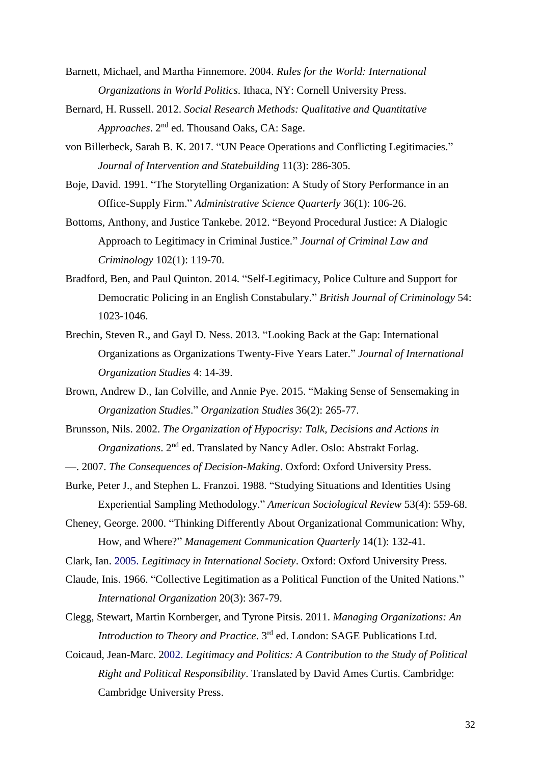- Barnett, Michael, and Martha Finnemore. 2004. *Rules for the World: International Organizations in World Politics*. Ithaca, NY: Cornell University Press.
- Bernard, H. Russell. 2012. *Social Research Methods: Qualitative and Quantitative*  Approaches. 2<sup>nd</sup> ed. Thousand Oaks, CA: Sage.
- von Billerbeck, Sarah B. K. 2017. "UN Peace Operations and Conflicting Legitimacies." *Journal of Intervention and Statebuilding* 11(3): 286-305.
- Boje, David. 1991. "The Storytelling Organization: A Study of Story Performance in an Office-Supply Firm." *Administrative Science Quarterly* 36(1): 106-26.
- Bottoms, Anthony, and Justice Tankebe. 2012. "Beyond Procedural Justice: A Dialogic Approach to Legitimacy in Criminal Justice." *Journal of Criminal Law and Criminology* 102(1): 119-70.
- Bradford, Ben, and Paul Quinton. 2014. "Self-Legitimacy, Police Culture and Support for Democratic Policing in an English Constabulary." *British Journal of Criminology* 54: 1023-1046.
- Brechin, Steven R., and Gayl D. Ness. 2013. "Looking Back at the Gap: International Organizations as Organizations Twenty-Five Years Later." *Journal of International Organization Studies* 4: 14-39.
- Brown, Andrew D., Ian Colville, and Annie Pye. 2015. "Making Sense of Sensemaking in *Organization Studies*." *Organization Studies* 36(2): 265-77.
- Brunsson, Nils. 2002. *The Organization of Hypocrisy: Talk, Decisions and Actions in Organizations*. 2<sup>nd</sup> ed. Translated by Nancy Adler. Oslo: Abstrakt Forlag.
- —. 2007. *The Consequences of Decision-Making*. Oxford: Oxford University Press.
- Burke, Peter J., and Stephen L. Franzoi. 1988. "Studying Situations and Identities Using Experiential Sampling Methodology." *American Sociological Review* 53(4): 559-68.
- Cheney, George. 2000. "Thinking Differently About Organizational Communication: Why, How, and Where?" *Management Communication Quarterly* 14(1): 132-41.
- Clark, Ian. 2005. *Legitimacy in International Society*. Oxford: Oxford University Press.
- Claude, Inis. 1966. "Collective Legitimation as a Political Function of the United Nations." *International Organization* 20(3): 367-79.
- Clegg, Stewart, Martin Kornberger, and Tyrone Pitsis. 2011. *Managing Organizations: An Introduction to Theory and Practice*. 3rd ed. London: SAGE Publications Ltd.
- Coicaud, Jean-Marc. 2002. *Legitimacy and Politics: A Contribution to the Study of Political Right and Political Responsibility*. Translated by David Ames Curtis. Cambridge: Cambridge University Press.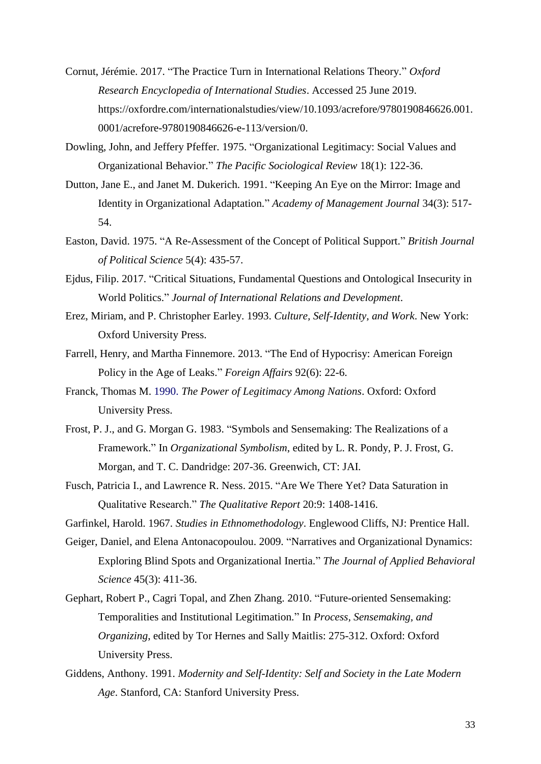- Cornut, Jérémie. 2017. "The Practice Turn in International Relations Theory." *Oxford Research Encyclopedia of International Studies*. Accessed 25 June 2019. https://oxfordre.com/internationalstudies/view/10.1093/acrefore/9780190846626.001. 0001/acrefore-9780190846626-e-113/version/0.
- Dowling, John, and Jeffery Pfeffer. 1975. "Organizational Legitimacy: Social Values and Organizational Behavior." *The Pacific Sociological Review* 18(1): 122-36.
- Dutton, Jane E., and Janet M. Dukerich. 1991. "Keeping An Eye on the Mirror: Image and Identity in Organizational Adaptation." *Academy of Management Journal* 34(3): 517- 54.
- Easton, David. 1975. "A Re-Assessment of the Concept of Political Support." *British Journal of Political Science* 5(4): 435-57.
- Ejdus, Filip. 2017. "Critical Situations, Fundamental Questions and Ontological Insecurity in World Politics." *Journal of International Relations and Development*.
- Erez, Miriam, and P. Christopher Earley. 1993. *Culture, Self-Identity, and Work*. New York: Oxford University Press.
- Farrell, Henry, and Martha Finnemore. 2013. "The End of Hypocrisy: American Foreign Policy in the Age of Leaks." *Foreign Affairs* 92(6): 22-6.
- Franck, Thomas M. 1990. *The Power of Legitimacy Among Nations*. Oxford: Oxford University Press.
- Frost, P. J., and G. Morgan G. 1983. "Symbols and Sensemaking: The Realizations of a Framework." In *Organizational Symbolism*, edited by L. R. Pondy, P. J. Frost, G. Morgan, and T. C. Dandridge: 207-36. Greenwich, CT: JAI.
- Fusch, Patricia I., and Lawrence R. Ness. 2015. "Are We There Yet? Data Saturation in Qualitative Research." *The Qualitative Report* 20:9: 1408-1416.

Garfinkel, Harold. 1967. *Studies in Ethnomethodology*. Englewood Cliffs, NJ: Prentice Hall.

- Geiger, Daniel, and Elena Antonacopoulou. 2009. "Narratives and Organizational Dynamics: Exploring Blind Spots and Organizational Inertia." *The Journal of Applied Behavioral Science* 45(3): 411-36.
- Gephart, Robert P., Cagri Topal, and Zhen Zhang. 2010. "Future-oriented Sensemaking: Temporalities and Institutional Legitimation." In *Process, Sensemaking, and Organizing*, edited by Tor Hernes and Sally Maitlis: 275-312. Oxford: Oxford University Press.
- Giddens, Anthony. 1991. *Modernity and Self-Identity: Self and Society in the Late Modern Age*. Stanford, CA: Stanford University Press.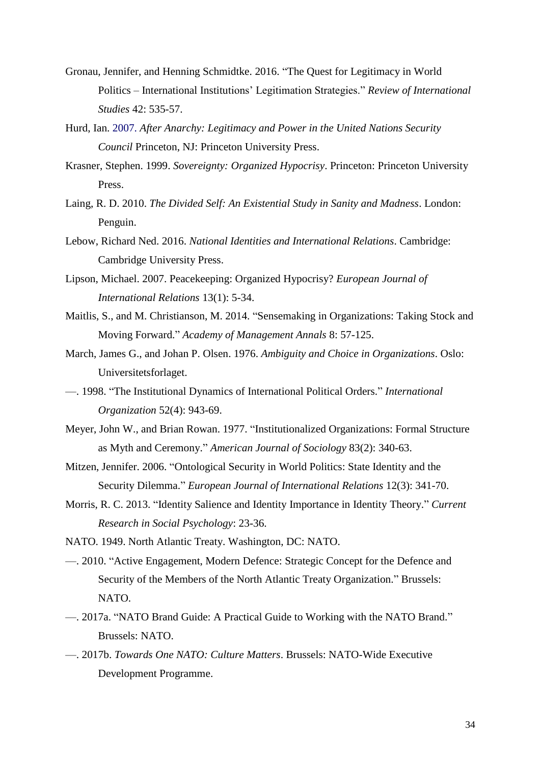- Gronau, Jennifer, and Henning Schmidtke. 2016. "The Quest for Legitimacy in World Politics – International Institutions' Legitimation Strategies." *Review of International Studies* 42: 535-57.
- Hurd, Ian. 2007. *After Anarchy: Legitimacy and Power in the United Nations Security Council* Princeton, NJ: Princeton University Press.
- Krasner, Stephen. 1999. *Sovereignty: Organized Hypocrisy*. Princeton: Princeton University Press.
- Laing, R. D. 2010. *The Divided Self: An Existential Study in Sanity and Madness*. London: Penguin.
- Lebow, Richard Ned. 2016. *National Identities and International Relations*. Cambridge: Cambridge University Press.
- Lipson, Michael. 2007. Peacekeeping: Organized Hypocrisy? *European Journal of International Relations* 13(1): 5-34.
- Maitlis, S., and M. Christianson, M. 2014. "Sensemaking in Organizations: Taking Stock and Moving Forward." *Academy of Management Annals* 8: 57-125.
- March, James G., and Johan P. Olsen. 1976. *Ambiguity and Choice in Organizations*. Oslo: Universitetsforlaget.
- —. 1998. "The Institutional Dynamics of International Political Orders." *International Organization* 52(4): 943-69.
- Meyer, John W., and Brian Rowan. 1977. "Institutionalized Organizations: Formal Structure as Myth and Ceremony." *American Journal of Sociology* 83(2): 340-63.
- Mitzen, Jennifer. 2006. "Ontological Security in World Politics: State Identity and the Security Dilemma." *European Journal of International Relations* 12(3): 341-70.
- Morris, R. C. 2013. "Identity Salience and Identity Importance in Identity Theory." *Current Research in Social Psychology*: 23-36.
- NATO. 1949. North Atlantic Treaty. Washington, DC: NATO.
- —. 2010. "Active Engagement, Modern Defence: Strategic Concept for the Defence and Security of the Members of the North Atlantic Treaty Organization." Brussels: NATO.
- —. 2017a. "NATO Brand Guide: A Practical Guide to Working with the NATO Brand." Brussels: NATO.
- —. 2017b. *Towards One NATO: Culture Matters*. Brussels: NATO-Wide Executive Development Programme.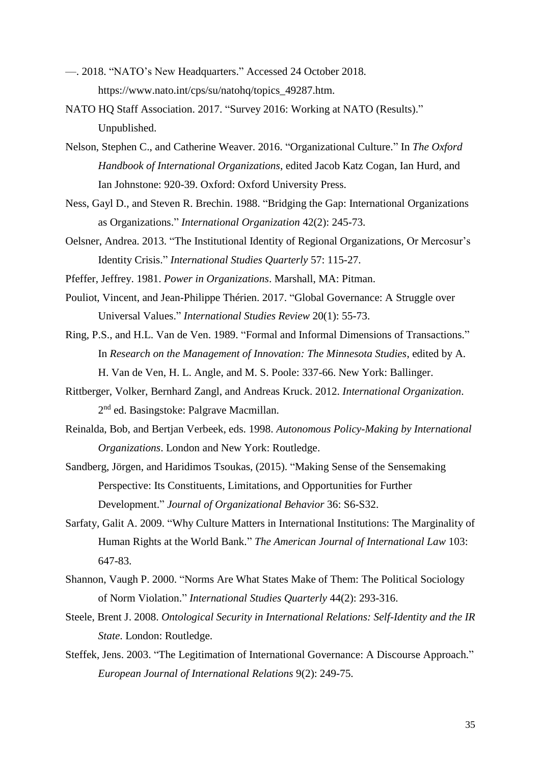- —. 2018. "NATO's New Headquarters." Accessed 24 October 2018. https://www.nato.int/cps/su/natohq/topics\_49287.htm.
- NATO HQ Staff Association. 2017. "Survey 2016: Working at NATO (Results)." Unpublished.
- Nelson, Stephen C., and Catherine Weaver. 2016. "Organizational Culture." In *The Oxford Handbook of International Organizations*, edited Jacob Katz Cogan, Ian Hurd, and Ian Johnstone: 920-39. Oxford: Oxford University Press.
- Ness, Gayl D., and Steven R. Brechin. 1988. "Bridging the Gap: International Organizations as Organizations." *International Organization* 42(2): 245-73.
- Oelsner, Andrea. 2013. "The Institutional Identity of Regional Organizations, Or Mercosur's Identity Crisis." *International Studies Quarterly* 57: 115-27.
- Pfeffer, Jeffrey. 1981. *Power in Organizations*. Marshall, MA: Pitman.
- Pouliot, Vincent, and Jean-Philippe Thérien. 2017. "Global Governance: A Struggle over Universal Values." *International Studies Review* 20(1): 55-73.

Ring, P.S., and H.L. Van de Ven. 1989. "Formal and Informal Dimensions of Transactions." In *Research on the Management of Innovation: The Minnesota Studies*, edited by A. H. Van de Ven, H. L. Angle, and M. S. Poole: 337-66. New York: Ballinger.

- Rittberger, Volker, Bernhard Zangl, and Andreas Kruck. 2012. *International Organization*. 2<sup>nd</sup> ed. Basingstoke: Palgrave Macmillan.
- Reinalda, Bob, and Bertjan Verbeek, eds. 1998. *Autonomous Policy-Making by International Organizations*. London and New York: Routledge.
- Sandberg, Jörgen, and Haridimos Tsoukas, (2015). "Making Sense of the Sensemaking Perspective: Its Constituents, Limitations, and Opportunities for Further Development." *Journal of Organizational Behavior* 36: S6-S32.
- Sarfaty, Galit A. 2009. "Why Culture Matters in International Institutions: The Marginality of Human Rights at the World Bank." *The American Journal of International Law* 103: 647-83.
- Shannon, Vaugh P. 2000. "Norms Are What States Make of Them: The Political Sociology of Norm Violation." *International Studies Quarterly* 44(2): 293-316.
- Steele, Brent J. 2008. *Ontological Security in International Relations: Self-Identity and the IR State*. London: Routledge.
- Steffek, Jens. 2003. "The Legitimation of International Governance: A Discourse Approach." *European Journal of International Relations* 9(2): 249-75.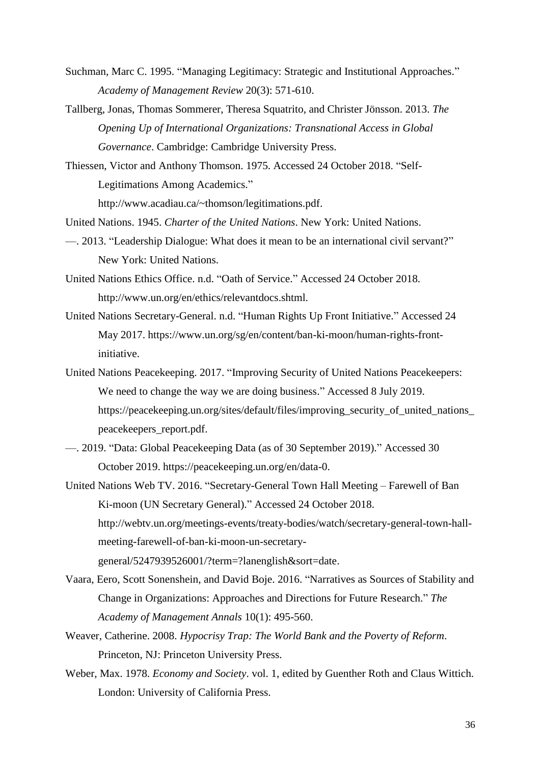- Suchman, Marc C. 1995. "Managing Legitimacy: Strategic and Institutional Approaches." *Academy of Management Review* 20(3): 571-610.
- Tallberg, Jonas, Thomas Sommerer, Theresa Squatrito, and Christer Jönsson. 2013. *The Opening Up of International Organizations: Transnational Access in Global Governance*. Cambridge: Cambridge University Press.
- Thiessen, Victor and Anthony Thomson. 1975. Accessed 24 October 2018. "Self-Legitimations Among Academics."

http://www.acadiau.ca/~thomson/legitimations.pdf.

- United Nations. 1945. *Charter of the United Nations*. New York: United Nations.
- —. 2013. "Leadership Dialogue: What does it mean to be an international civil servant?" New York: United Nations.
- United Nations Ethics Office. n.d. "Oath of Service." Accessed 24 October 2018. http://www.un.org/en/ethics/relevantdocs.shtml.
- United Nations Secretary-General. n.d. "Human Rights Up Front Initiative." Accessed 24 May 2017. https://www.un.org/sg/en/content/ban-ki-moon/human-rights-frontinitiative.
- United Nations Peacekeeping. 2017. "Improving Security of United Nations Peacekeepers: We need to change the way we are doing business." Accessed 8 July 2019. https://peacekeeping.un.org/sites/default/files/improving\_security\_of\_united\_nations\_ peacekeepers\_report.pdf.
- —. 2019. "Data: Global Peacekeeping Data (as of 30 September 2019)." Accessed 30 October 2019. https://peacekeeping.un.org/en/data-0.
- United Nations Web TV. 2016. "Secretary-General Town Hall Meeting Farewell of Ban Ki-moon (UN Secretary General)." Accessed 24 October 2018. http://webtv.un.org/meetings-events/treaty-bodies/watch/secretary-general-town-hallmeeting-farewell-of-ban-ki-moon-un-secretarygeneral/5247939526001/?term=?lanenglish&sort=date.
- Vaara, Eero, Scott Sonenshein, and David Boje. 2016. "Narratives as Sources of Stability and Change in Organizations: Approaches and Directions for Future Research." *The Academy of Management Annals* 10(1): 495-560.
- Weaver, Catherine. 2008. *Hypocrisy Trap: The World Bank and the Poverty of Reform*. Princeton, NJ: Princeton University Press.
- Weber, Max. 1978. *Economy and Society*. vol. 1, edited by Guenther Roth and Claus Wittich. London: University of California Press.